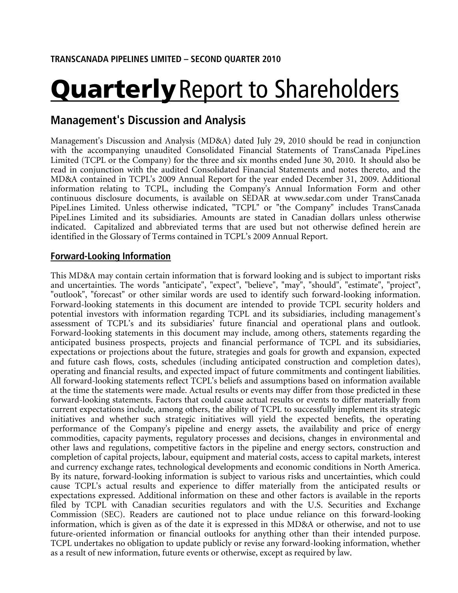# **Quarterly** Report to Shareholders

# **Management's Discussion and Analysis**

Management's Discussion and Analysis (MD&A) dated July 29, 2010 should be read in conjunction with the accompanying unaudited Consolidated Financial Statements of TransCanada PipeLines Limited (TCPL or the Company) for the three and six months ended June 30, 2010. It should also be read in conjunction with the audited Consolidated Financial Statements and notes thereto, and the MD&A contained in TCPL's 2009 Annual Report for the year ended December 31, 2009. Additional information relating to TCPL, including the Company's Annual Information Form and other continuous disclosure documents, is available on SEDAR at www.sedar.com under TransCanada PipeLines Limited. Unless otherwise indicated, "TCPL" or "the Company" includes TransCanada PipeLines Limited and its subsidiaries. Amounts are stated in Canadian dollars unless otherwise indicated. Capitalized and abbreviated terms that are used but not otherwise defined herein are identified in the Glossary of Terms contained in TCPL's 2009 Annual Report.

# **Forward-Looking Information**

This MD&A may contain certain information that is forward looking and is subject to important risks and uncertainties. The words "anticipate", "expect", "believe", "may", "should", "estimate", "project", "outlook", "forecast" or other similar words are used to identify such forward-looking information. Forward-looking statements in this document are intended to provide TCPL security holders and potential investors with information regarding TCPL and its subsidiaries, including management's assessment of TCPL's and its subsidiaries' future financial and operational plans and outlook. Forward-looking statements in this document may include, among others, statements regarding the anticipated business prospects, projects and financial performance of TCPL and its subsidiaries, expectations or projections about the future, strategies and goals for growth and expansion, expected and future cash flows, costs, schedules (including anticipated construction and completion dates), operating and financial results, and expected impact of future commitments and contingent liabilities. All forward-looking statements reflect TCPL's beliefs and assumptions based on information available at the time the statements were made. Actual results or events may differ from those predicted in these forward-looking statements. Factors that could cause actual results or events to differ materially from current expectations include, among others, the ability of TCPL to successfully implement its strategic initiatives and whether such strategic initiatives will yield the expected benefits, the operating performance of the Company's pipeline and energy assets, the availability and price of energy commodities, capacity payments, regulatory processes and decisions, changes in environmental and other laws and regulations, competitive factors in the pipeline and energy sectors, construction and completion of capital projects, labour, equipment and material costs, access to capital markets, interest and currency exchange rates, technological developments and economic conditions in North America. By its nature, forward-looking information is subject to various risks and uncertainties, which could cause TCPL's actual results and experience to differ materially from the anticipated results or expectations expressed. Additional information on these and other factors is available in the reports filed by TCPL with Canadian securities regulators and with the U.S. Securities and Exchange Commission (SEC). Readers are cautioned not to place undue reliance on this forward-looking information, which is given as of the date it is expressed in this MD&A or otherwise, and not to use future-oriented information or financial outlooks for anything other than their intended purpose. TCPL undertakes no obligation to update publicly or revise any forward-looking information, whether as a result of new information, future events or otherwise, except as required by law.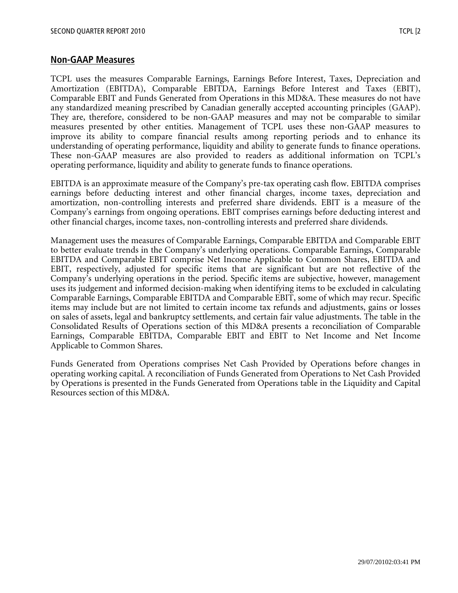# **Non-GAAP Measures**

TCPL uses the measures Comparable Earnings, Earnings Before Interest, Taxes, Depreciation and Amortization (EBITDA), Comparable EBITDA, Earnings Before Interest and Taxes (EBIT), Comparable EBIT and Funds Generated from Operations in this MD&A. These measures do not have any standardized meaning prescribed by Canadian generally accepted accounting principles (GAAP). They are, therefore, considered to be non-GAAP measures and may not be comparable to similar measures presented by other entities. Management of TCPL uses these non-GAAP measures to improve its ability to compare financial results among reporting periods and to enhance its understanding of operating performance, liquidity and ability to generate funds to finance operations. These non-GAAP measures are also provided to readers as additional information on TCPL's operating performance, liquidity and ability to generate funds to finance operations.

EBITDA is an approximate measure of the Company's pre-tax operating cash flow. EBITDA comprises earnings before deducting interest and other financial charges, income taxes, depreciation and amortization, non-controlling interests and preferred share dividends. EBIT is a measure of the Company's earnings from ongoing operations. EBIT comprises earnings before deducting interest and other financial charges, income taxes, non-controlling interests and preferred share dividends.

Management uses the measures of Comparable Earnings, Comparable EBITDA and Comparable EBIT to better evaluate trends in the Company's underlying operations. Comparable Earnings, Comparable EBITDA and Comparable EBIT comprise Net Income Applicable to Common Shares, EBITDA and EBIT, respectively, adjusted for specific items that are significant but are not reflective of the Company's underlying operations in the period. Specific items are subjective, however, management uses its judgement and informed decision-making when identifying items to be excluded in calculating Comparable Earnings, Comparable EBITDA and Comparable EBIT, some of which may recur. Specific items may include but are not limited to certain income tax refunds and adjustments, gains or losses on sales of assets, legal and bankruptcy settlements, and certain fair value adjustments. The table in the Consolidated Results of Operations section of this MD&A presents a reconciliation of Comparable Earnings, Comparable EBITDA, Comparable EBIT and EBIT to Net Income and Net Income Applicable to Common Shares.

Funds Generated from Operations comprises Net Cash Provided by Operations before changes in operating working capital. A reconciliation of Funds Generated from Operations to Net Cash Provided by Operations is presented in the Funds Generated from Operations table in the Liquidity and Capital Resources section of this MD&A.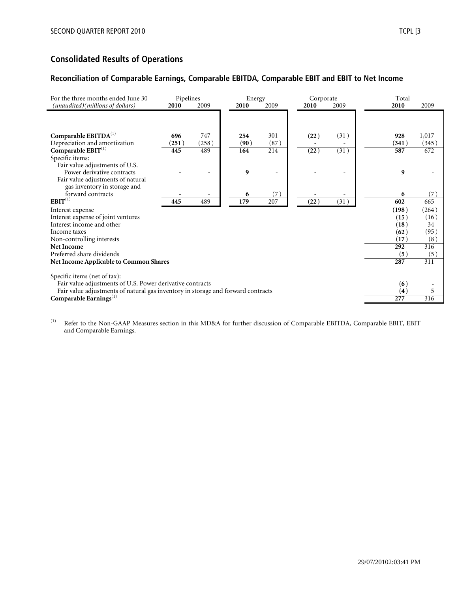# **Consolidated Results of Operations**

## **Reconciliation of Comparable Earnings, Comparable EBITDA, Comparable EBIT and EBIT to Net Income**

| For the three months ended June 30<br>(unaudited)(millions of dollars)           | Pipelines<br>2010 | 2009  | Energy<br>2010 | 2009 | 2010 | Corporate<br>2009 | Total<br>2010 | 2009          |
|----------------------------------------------------------------------------------|-------------------|-------|----------------|------|------|-------------------|---------------|---------------|
|                                                                                  |                   |       |                |      |      |                   |               |               |
| Comparable EBITDA <sup>(1)</sup>                                                 | 696               | 747   | 254            | 301  | (22) | (31)              | 928           | 1,017         |
| Depreciation and amortization                                                    | (251)             | (258) | (90)           | (87) |      |                   | (341)         | (345)         |
| Comparable $EBIT^{(1)}$                                                          | 445               | 489   | 164            | 214  | (22) | (31)              | 587           | 672           |
| Specific items:                                                                  |                   |       |                |      |      |                   |               |               |
| Fair value adjustments of U.S.                                                   |                   |       |                |      |      |                   |               |               |
| Power derivative contracts                                                       |                   |       | 9              |      |      |                   | 9             |               |
| Fair value adjustments of natural                                                |                   |       |                |      |      |                   |               |               |
| gas inventory in storage and<br>forward contracts                                |                   |       | 6              | (7)  |      |                   | 6             | (7)           |
| $EBIT^{(1)}$                                                                     | 445               | 489   | 179            | 207  | (22) | (31)              | 602           | 665           |
|                                                                                  |                   |       |                |      |      |                   |               |               |
| Interest expense<br>Interest expense of joint ventures                           |                   |       |                |      |      |                   | (198)         | (264)<br>(16) |
| Interest income and other                                                        |                   |       |                |      |      |                   | (15)<br>(18)  | 34            |
| Income taxes                                                                     |                   |       |                |      |      |                   | (62)          | (95)          |
| Non-controlling interests                                                        |                   |       |                |      |      |                   | (17)          | (8)           |
| Net Income                                                                       |                   |       |                |      |      |                   | 292           | 316           |
| Preferred share dividends                                                        |                   |       |                |      |      |                   | (5)           | (5)           |
| <b>Net Income Applicable to Common Shares</b>                                    |                   |       |                |      |      |                   | 287           | 311           |
|                                                                                  |                   |       |                |      |      |                   |               |               |
| Specific items (net of tax):                                                     |                   |       |                |      |      |                   |               |               |
| Fair value adjustments of U.S. Power derivative contracts                        |                   |       |                |      |      |                   | (6)           |               |
| Fair value adjustments of natural gas inventory in storage and forward contracts |                   |       |                |      |      |                   | (4)           | 5             |
| Comparable Earnings $(1)$                                                        |                   |       |                |      |      |                   | 277           | 316           |

(1) Refer to the Non-GAAP Measures section in this MD&A for further discussion of Comparable EBITDA, Comparable EBIT, EBIT and Comparable Earnings.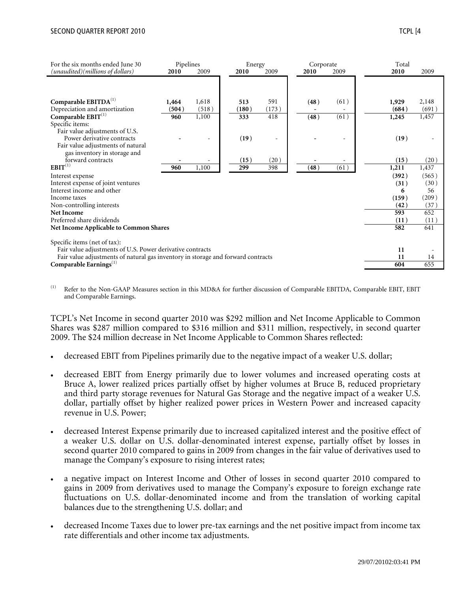| For the six months ended June 30                                                 | Pipelines |       | Energy |       | Corporate |      | Total |       |
|----------------------------------------------------------------------------------|-----------|-------|--------|-------|-----------|------|-------|-------|
| (unaudited)(millions of dollars)                                                 | 2010      | 2009  | 2010   | 2009  | 2010      | 2009 | 2010  | 2009  |
|                                                                                  |           |       |        |       |           |      |       |       |
| Comparable $EBITDA(1)$                                                           | 1,464     | 1,618 | 513    | 591   | (48)      | (61) | 1,929 | 2,148 |
| Depreciation and amortization                                                    | (504)     | (518) | (180)  | (173) |           |      | (684) | (691) |
| Comparable $\mathrm{EBIT}^{(1)}$                                                 | 960       | 1,100 | 333    | 418   | (48)      | (61) | 1,245 | 1,457 |
| Specific items:                                                                  |           |       |        |       |           |      |       |       |
| Fair value adjustments of U.S.                                                   |           |       |        |       |           |      |       |       |
| Power derivative contracts                                                       |           |       | (19)   |       |           |      | (19)  |       |
| Fair value adjustments of natural                                                |           |       |        |       |           |      |       |       |
| gas inventory in storage and                                                     |           |       |        |       |           |      |       |       |
| forward contracts                                                                |           |       | (15)   | (20)  |           |      | (15)  | (20)  |
| $EBIT^{(1)}$                                                                     | 960       | 1,100 | 299    | 398   | (48)      | (61) | 1,211 | 1,437 |
| Interest expense                                                                 |           |       |        |       |           |      | (392) | (565) |
| Interest expense of joint ventures                                               |           |       |        |       |           |      | (31)  | (30)  |
| Interest income and other                                                        |           |       |        |       |           |      | 6     | 56    |
| Income taxes                                                                     |           |       |        |       |           |      | (159) | (209) |
| Non-controlling interests                                                        |           |       |        |       |           |      | (42)  | (37)  |
| <b>Net Income</b>                                                                |           |       |        |       |           |      | 593   | 652   |
| Preferred share dividends                                                        |           |       |        |       |           |      | (11)  | (11)  |
| <b>Net Income Applicable to Common Shares</b>                                    |           |       |        |       |           |      | 582   | 641   |
|                                                                                  |           |       |        |       |           |      |       |       |
| Specific items (net of tax):                                                     |           |       |        |       |           |      |       |       |
| Fair value adjustments of U.S. Power derivative contracts                        |           |       |        |       |           |      | 11    |       |
| Fair value adjustments of natural gas inventory in storage and forward contracts |           |       |        |       |           |      | 11    | 14    |
| Comparable Earnings $(1)$                                                        |           |       |        |       |           |      | 604   | 655   |

Refer to the Non-GAAP Measures section in this MD&A for further discussion of Comparable EBITDA, Comparable EBIT, EBIT and Comparable Earnings.

TCPL's Net Income in second quarter 2010 was \$292 million and Net Income Applicable to Common Shares was \$287 million compared to \$316 million and \$311 million, respectively, in second quarter 2009. The \$24 million decrease in Net Income Applicable to Common Shares reflected:

- decreased EBIT from Pipelines primarily due to the negative impact of a weaker U.S. dollar;
- decreased EBIT from Energy primarily due to lower volumes and increased operating costs at Bruce A, lower realized prices partially offset by higher volumes at Bruce B, reduced proprietary and third party storage revenues for Natural Gas Storage and the negative impact of a weaker U.S. dollar, partially offset by higher realized power prices in Western Power and increased capacity revenue in U.S. Power;
- decreased Interest Expense primarily due to increased capitalized interest and the positive effect of a weaker U.S. dollar on U.S. dollar-denominated interest expense, partially offset by losses in second quarter 2010 compared to gains in 2009 from changes in the fair value of derivatives used to manage the Company's exposure to rising interest rates;
- a negative impact on Interest Income and Other of losses in second quarter 2010 compared to gains in 2009 from derivatives used to manage the Company's exposure to foreign exchange rate fluctuations on U.S. dollar-denominated income and from the translation of working capital balances due to the strengthening U.S. dollar; and
- decreased Income Taxes due to lower pre-tax earnings and the net positive impact from income tax rate differentials and other income tax adjustments.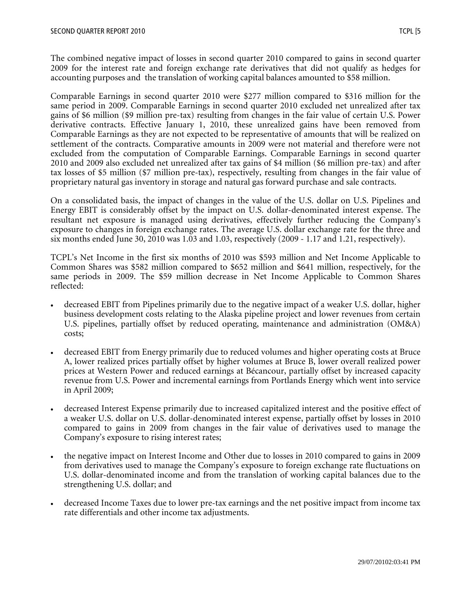The combined negative impact of losses in second quarter 2010 compared to gains in second quarter 2009 for the interest rate and foreign exchange rate derivatives that did not qualify as hedges for accounting purposes and the translation of working capital balances amounted to \$58 million.

Comparable Earnings in second quarter 2010 were \$277 million compared to \$316 million for the same period in 2009. Comparable Earnings in second quarter 2010 excluded net unrealized after tax gains of \$6 million (\$9 million pre-tax) resulting from changes in the fair value of certain U.S. Power derivative contracts. Effective January 1, 2010, these unrealized gains have been removed from Comparable Earnings as they are not expected to be representative of amounts that will be realized on settlement of the contracts. Comparative amounts in 2009 were not material and therefore were not excluded from the computation of Comparable Earnings. Comparable Earnings in second quarter 2010 and 2009 also excluded net unrealized after tax gains of \$4 million (\$6 million pre-tax) and after tax losses of \$5 million (\$7 million pre-tax), respectively, resulting from changes in the fair value of proprietary natural gas inventory in storage and natural gas forward purchase and sale contracts.

On a consolidated basis, the impact of changes in the value of the U.S. dollar on U.S. Pipelines and Energy EBIT is considerably offset by the impact on U.S. dollar-denominated interest expense. The resultant net exposure is managed using derivatives, effectively further reducing the Company's exposure to changes in foreign exchange rates. The average U.S. dollar exchange rate for the three and six months ended June 30, 2010 was 1.03 and 1.03, respectively (2009 - 1.17 and 1.21, respectively).

TCPL's Net Income in the first six months of 2010 was \$593 million and Net Income Applicable to Common Shares was \$582 million compared to \$652 million and \$641 million, respectively, for the same periods in 2009. The \$59 million decrease in Net Income Applicable to Common Shares reflected:

- decreased EBIT from Pipelines primarily due to the negative impact of a weaker U.S. dollar, higher business development costs relating to the Alaska pipeline project and lower revenues from certain U.S. pipelines, partially offset by reduced operating, maintenance and administration (OM&A) costs;
- decreased EBIT from Energy primarily due to reduced volumes and higher operating costs at Bruce A, lower realized prices partially offset by higher volumes at Bruce B, lower overall realized power prices at Western Power and reduced earnings at Bécancour, partially offset by increased capacity revenue from U.S. Power and incremental earnings from Portlands Energy which went into service in April 2009;
- decreased Interest Expense primarily due to increased capitalized interest and the positive effect of a weaker U.S. dollar on U.S. dollar-denominated interest expense, partially offset by losses in 2010 compared to gains in 2009 from changes in the fair value of derivatives used to manage the Company's exposure to rising interest rates;
- the negative impact on Interest Income and Other due to losses in 2010 compared to gains in 2009 from derivatives used to manage the Company's exposure to foreign exchange rate fluctuations on U.S. dollar-denominated income and from the translation of working capital balances due to the strengthening U.S. dollar; and
- decreased Income Taxes due to lower pre-tax earnings and the net positive impact from income tax rate differentials and other income tax adjustments.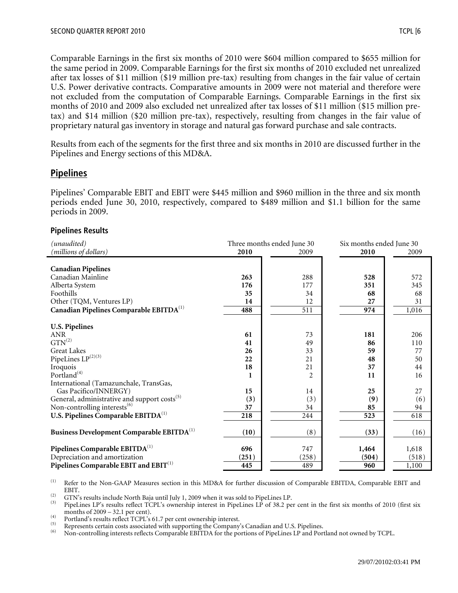Comparable Earnings in the first six months of 2010 were \$604 million compared to \$655 million for the same period in 2009. Comparable Earnings for the first six months of 2010 excluded net unrealized after tax losses of \$11 million (\$19 million pre-tax) resulting from changes in the fair value of certain U.S. Power derivative contracts. Comparative amounts in 2009 were not material and therefore were not excluded from the computation of Comparable Earnings. Comparable Earnings in the first six months of 2010 and 2009 also excluded net unrealized after tax losses of \$11 million (\$15 million pretax) and \$14 million (\$20 million pre-tax), respectively, resulting from changes in the fair value of proprietary natural gas inventory in storage and natural gas forward purchase and sale contracts.

Results from each of the segments for the first three and six months in 2010 are discussed further in the Pipelines and Energy sections of this MD&A.

# **Pipelines**

Pipelines' Comparable EBIT and EBIT were \$445 million and \$960 million in the three and six month periods ended June 30, 2010, respectively, compared to \$489 million and \$1.1 billion for the same periods in 2009.

#### **Pipelines Results**

| (unaudited)                                              |       | Three months ended June 30 | Six months ended June 30 |       |  |
|----------------------------------------------------------|-------|----------------------------|--------------------------|-------|--|
| (millions of dollars)                                    | 2010  | 2009                       | 2010                     | 2009  |  |
|                                                          |       |                            |                          |       |  |
| <b>Canadian Pipelines</b>                                |       |                            |                          |       |  |
| Canadian Mainline                                        | 263   | 288                        | 528                      | 572   |  |
| Alberta System                                           | 176   | 177                        | 351                      | 345   |  |
| Foothills                                                | 35    | 34                         | 68                       | 68    |  |
| Other (TQM, Ventures LP)                                 | 14    | 12                         | 27                       | 31    |  |
| Canadian Pipelines Comparable EBITDA <sup>(1)</sup>      | 488   | 511                        | 974                      | 1,016 |  |
|                                                          |       |                            |                          |       |  |
| <b>U.S. Pipelines</b>                                    |       |                            |                          |       |  |
| $\operatorname{ANR}$                                     | 61    | 73                         | 181                      | 206   |  |
| $GTN^{(2)}$                                              | 41    | 49                         | 86                       | 110   |  |
| <b>Great Lakes</b>                                       | 26    | 33                         | 59                       | 77    |  |
| PipeLines $\mathrm{LP}^{(2)(3)}$                         | 22    | 21                         | 48                       | 50    |  |
| Iroquois                                                 | 18    | 21                         | 37                       | 44    |  |
| Portland <sup>(4)</sup>                                  |       | $\overline{2}$             | 11                       | 16    |  |
| International (Tamazunchale, TransGas,                   |       |                            |                          |       |  |
| Gas Pacifico/INNERGY)                                    | 15    | 14                         | 25                       | 27    |  |
| General, administrative and support costs <sup>(5)</sup> | (3)   | (3)                        | (9)                      | (6)   |  |
| Non-controlling interests <sup>(6)</sup>                 | 37    | 34                         | 85                       | 94    |  |
| U.S. Pipelines Comparable EBITDA <sup>(1)</sup>          | 218   | 244                        | 523                      | 618   |  |
| Business Development Comparable EBITDA <sup>(1)</sup>    | (10)  | (8)                        | (33)                     | (16)  |  |
|                                                          |       |                            |                          |       |  |
| Pipelines Comparable EBITDA <sup>(1)</sup>               | 696   | 747                        | 1,464                    | 1,618 |  |
| Depreciation and amortization                            | (251) | (258)                      | (504)                    | (518) |  |
| Pipelines Comparable EBIT and EBIT <sup>(1)</sup>        | 445   | 489                        | 960                      | 1,100 |  |

(1) Refer to the Non-GAAP Measures section in this MD&A for further discussion of Comparable EBITDA, Comparable EBIT and EBIT.<br>GTN's results include North Baja until July 1, 2009 when it was sold to PipeLines LP.

(2) GTN's results include North Baja until July 1, 2009 when it was sold to PipeLines LP.<br>
(3) PipeLines LP's results reflect TCPL's ownership interest in PipeLines LP of 38.2 per cent in the first six months of 2010 (fir

Fortland's results reflect TCPL's 61.7 per cent ownership interest.<br>
(5) Represents certain costs associated with supporting the Company's Canadian and U.S. Pipelines.<br>
(6) Non-controlling interests reflects Comparable EBI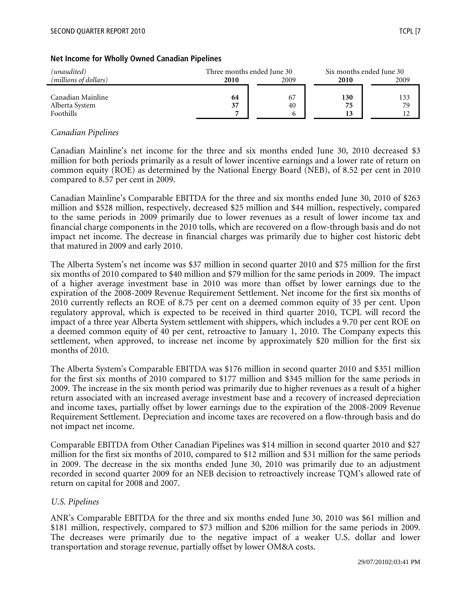# *(unaudited)*<br> *(millions of dollars)*<br> **Call 2010**<br> **Call 2009**<br> **Call 2009**<br> **Call 2009**<br> **Call 2009**<br> **Call 2009**<br> **Call 2009**<br> **Call 2009** *(millions of dollars)* **2010** 2009 **2010** 2009 Canadian Mainline **64** 67 **130** 133 Alberta System **37** 40 **75** 79 Foothills **7** 6 **13** 12

#### **Net Income for Wholly Owned Canadian Pipelines**

## *Canadian Pipelines*

Canadian Mainline's net income for the three and six months ended June 30, 2010 decreased \$3 million for both periods primarily as a result of lower incentive earnings and a lower rate of return on common equity (ROE) as determined by the National Energy Board (NEB), of 8.52 per cent in 2010 compared to 8.57 per cent in 2009.

Canadian Mainline's Comparable EBITDA for the three and six months ended June 30, 2010 of \$263 million and \$528 million, respectively, decreased \$25 million and \$44 million, respectively, compared to the same periods in 2009 primarily due to lower revenues as a result of lower income tax and financial charge components in the 2010 tolls, which are recovered on a flow-through basis and do not impact net income. The decrease in financial charges was primarily due to higher cost historic debt that matured in 2009 and early 2010.

The Alberta System's net income was \$37 million in second quarter 2010 and \$75 million for the first six months of 2010 compared to \$40 million and \$79 million for the same periods in 2009. The impact of a higher average investment base in 2010 was more than offset by lower earnings due to the expiration of the 2008-2009 Revenue Requirement Settlement. Net income for the first six months of 2010 currently reflects an ROE of 8.75 per cent on a deemed common equity of 35 per cent. Upon regulatory approval, which is expected to be received in third quarter 2010, TCPL will record the impact of a three year Alberta System settlement with shippers, which includes a 9.70 per cent ROE on a deemed common equity of 40 per cent, retroactive to January 1, 2010. The Company expects this settlement, when approved, to increase net income by approximately \$20 million for the first six months of 2010.

The Alberta System's Comparable EBITDA was \$176 million in second quarter 2010 and \$351 million for the first six months of 2010 compared to \$177 million and \$345 million for the same periods in 2009. The increase in the six month period was primarily due to higher revenues as a result of a higher return associated with an increased average investment base and a recovery of increased depreciation and income taxes, partially offset by lower earnings due to the expiration of the 2008-2009 Revenue Requirement Settlement. Depreciation and income taxes are recovered on a flow-through basis and do not impact net income.

Comparable EBITDA from Other Canadian Pipelines was \$14 million in second quarter 2010 and \$27 million for the first six months of 2010, compared to \$12 million and \$31 million for the same periods in 2009. The decrease in the six months ended June 30, 2010 was primarily due to an adjustment recorded in second quarter 2009 for an NEB decision to retroactively increase TQM's allowed rate of return on capital for 2008 and 2007.

#### *U.S. Pipelines*

ANR's Comparable EBITDA for the three and six months ended June 30, 2010 was \$61 million and \$181 million, respectively, compared to \$73 million and \$206 million for the same periods in 2009. The decreases were primarily due to the negative impact of a weaker U.S. dollar and lower transportation and storage revenue, partially offset by lower OM&A costs.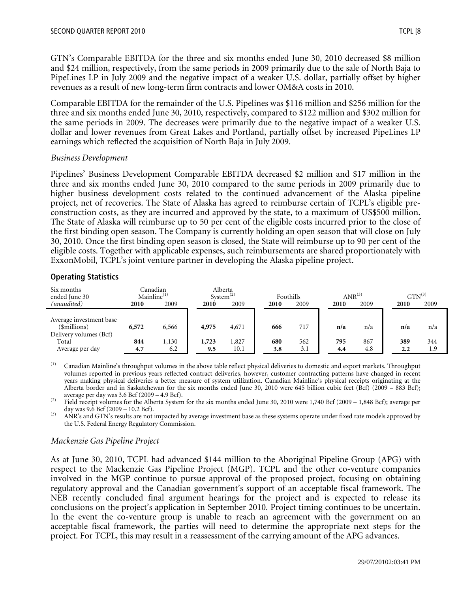GTN's Comparable EBITDA for the three and six months ended June 30, 2010 decreased \$8 million and \$24 million, respectively, from the same periods in 2009 primarily due to the sale of North Baja to PipeLines LP in July 2009 and the negative impact of a weaker U.S. dollar, partially offset by higher revenues as a result of new long-term firm contracts and lower OM&A costs in 2010.

Comparable EBITDA for the remainder of the U.S. Pipelines was \$116 million and \$256 million for the three and six months ended June 30, 2010, respectively, compared to \$122 million and \$302 million for the same periods in 2009. The decreases were primarily due to the negative impact of a weaker U.S. dollar and lower revenues from Great Lakes and Portland, partially offset by increased PipeLines LP earnings which reflected the acquisition of North Baja in July 2009.

#### *Business Development*

Pipelines' Business Development Comparable EBITDA decreased \$2 million and \$17 million in the three and six months ended June 30, 2010 compared to the same periods in 2009 primarily due to higher business development costs related to the continued advancement of the Alaska pipeline project, net of recoveries. The State of Alaska has agreed to reimburse certain of TCPL's eligible preconstruction costs, as they are incurred and approved by the state, to a maximum of US\$500 million. The State of Alaska will reimburse up to 50 per cent of the eligible costs incurred prior to the close of the first binding open season. The Company is currently holding an open season that will close on July 30, 2010. Once the first binding open season is closed, the State will reimburse up to 90 per cent of the eligible costs. Together with applicable expenses, such reimbursements are shared proportionately with ExxonMobil, TCPL's joint venture partner in developing the Alaska pipeline project.

## **Operating Statistics**

| Six months<br>ended June 30                                       | Mainline <sup>(1)</sup> | Canadian | System <sup>(2)</sup> | Alberta | Foothills |      | $ANR^{(3)}$ |      |      | $GTN^{(3)}$ |
|-------------------------------------------------------------------|-------------------------|----------|-----------------------|---------|-----------|------|-------------|------|------|-------------|
| (unaudited)                                                       | 2010                    | 2009     | 2010                  | 2009    | 2010      | 2009 | 2010        | 2009 | 2010 | 2009        |
| Average investment base<br>(\$millions)<br>Delivery volumes (Bcf) | 6,572                   | 6,566    | 4,975                 | 4,671   | 666       | 717  | n/a         | n/a  | n/a  | n/a         |
| Total                                                             | 844                     | 1,130    | 1,723                 | 1,827   | 680       | 562  | 795         | 867  | 389  | 344         |
| Average per day                                                   | 4.7                     | 6.2      | 9.5                   | 10.1    | 3.8       | 3.1  | 4.4         | 4.8  | 2.2  | 1.9         |

<sup>(1)</sup> Canadian Mainline's throughput volumes in the above table reflect physical deliveries to domestic and export markets. Throughput volumes reported in previous years reflected contract deliveries, however, customer contracting patterns have changed in recent years making physical deliveries a better measure of system utilization. Canadian Mainline's physical receipts originating at the Alberta border and in Saskatchewan for the six months ended June 30, 2010 were 645 billion cubic feet (Bcf) (2009 – 883 Bcf); average per day was 3.6 Bcf (2009 – 4.9 Bcf).

<sup>(2)</sup> Field receipt volumes for the Alberta System for the six months ended June 30, 2010 were 1,740 Bcf (2009 – 1,848 Bcf); average per day was 9.6 Bcf (2009 – 10.2 Bcf).<br>(3) ANR's and GTN's results are not impacted by average investment base as these systems operate under fixed rate models approved by

the U.S. Federal Energy Regulatory Commission.

# *Mackenzie Gas Pipeline Project*

As at June 30, 2010, TCPL had advanced \$144 million to the Aboriginal Pipeline Group (APG) with respect to the Mackenzie Gas Pipeline Project (MGP). TCPL and the other co-venture companies involved in the MGP continue to pursue approval of the proposed project, focusing on obtaining regulatory approval and the Canadian government's support of an acceptable fiscal framework. The NEB recently concluded final argument hearings for the project and is expected to release its conclusions on the project's application in September 2010. Project timing continues to be uncertain. In the event the co-venture group is unable to reach an agreement with the government on an acceptable fiscal framework, the parties will need to determine the appropriate next steps for the project. For TCPL, this may result in a reassessment of the carrying amount of the APG advances.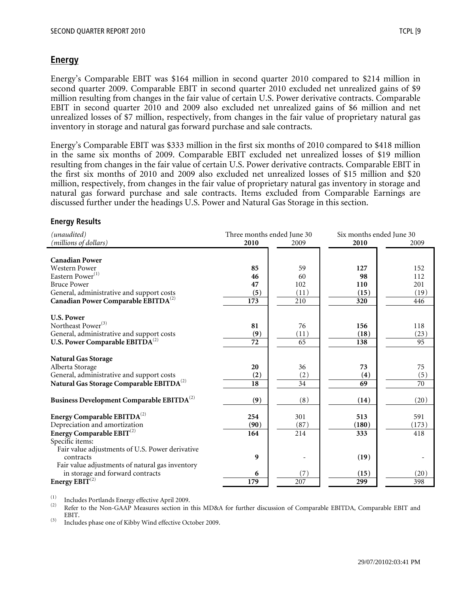# **Energy**

Energy's Comparable EBIT was \$164 million in second quarter 2010 compared to \$214 million in second quarter 2009. Comparable EBIT in second quarter 2010 excluded net unrealized gains of \$9 million resulting from changes in the fair value of certain U.S. Power derivative contracts. Comparable EBIT in second quarter 2010 and 2009 also excluded net unrealized gains of \$6 million and net unrealized losses of \$7 million, respectively, from changes in the fair value of proprietary natural gas inventory in storage and natural gas forward purchase and sale contracts.

Energy's Comparable EBIT was \$333 million in the first six months of 2010 compared to \$418 million in the same six months of 2009. Comparable EBIT excluded net unrealized losses of \$19 million resulting from changes in the fair value of certain U.S. Power derivative contracts. Comparable EBIT in the first six months of 2010 and 2009 also excluded net unrealized losses of \$15 million and \$20 million, respectively, from changes in the fair value of proprietary natural gas inventory in storage and natural gas forward purchase and sale contracts. Items excluded from Comparable Earnings are discussed further under the headings U.S. Power and Natural Gas Storage in this section.

#### **Energy Results**

| (unaudited)<br>(millions of dollars)                                                                                                                                                         | Three months ended June 30<br>2010 | 2009                           | Six months ended June 30<br>2010 | 2009                             |
|----------------------------------------------------------------------------------------------------------------------------------------------------------------------------------------------|------------------------------------|--------------------------------|----------------------------------|----------------------------------|
| <b>Canadian Power</b><br>Western Power<br>Eastern Power <sup>(1)</sup><br><b>Bruce Power</b><br>General, administrative and support costs<br>Canadian Power Comparable EBITDA <sup>(2)</sup> | 85<br>46<br>47<br>(5)<br>173       | 59<br>60<br>102<br>(11)<br>210 | 127<br>98<br>110<br>(15)<br>320  | 152<br>112<br>201<br>(19)<br>446 |
| <b>U.S. Power</b><br>Northeast Power <sup>(3)</sup><br>General, administrative and support costs<br>U.S. Power Comparable $EBITDA^{(2)}$                                                     | 81<br>(9)<br>72                    | 76<br>(11)<br>65               | 156<br>(18)<br>138               | 118<br>(23)<br>95                |
| <b>Natural Gas Storage</b><br>Alberta Storage<br>General, administrative and support costs<br>Natural Gas Storage Comparable EBITDA <sup>(2)</sup>                                           | 20<br>(2)<br>18                    | 36<br>(2)<br>34                | 73<br>(4)<br>69                  | 75<br>(5)<br>$\overline{70}$     |
| Business Development Comparable EBITDA <sup>(2)</sup>                                                                                                                                        | (9)                                | (8)                            | (14)                             | (20)                             |
| Energy Comparable $EBITDA^{(2)}$<br>Depreciation and amortization<br>Energy Comparable $EBIT^{(2)}$<br>Specific items:                                                                       | 254<br>(90)<br>164                 | 301<br>(87)<br>214             | 513<br>(180)<br>333              | 591<br>(173)<br>418              |
| Fair value adjustments of U.S. Power derivative<br>contracts<br>Fair value adjustments of natural gas inventory<br>in storage and forward contracts<br>Energy EBIT <sup>(2)</sup>            | 9<br>6<br>179                      | (7)<br>207                     | (19)<br>(15)<br>299              | (20)<br>398                      |

(1) Includes Portlands Energy effective April 2009.<br>(2) Refer to the Non-GAAP Measures section in this MD&A for further discussion of Comparable EBITDA, Comparable EBIT and EBIT.

(3) Includes phase one of Kibby Wind effective October 2009.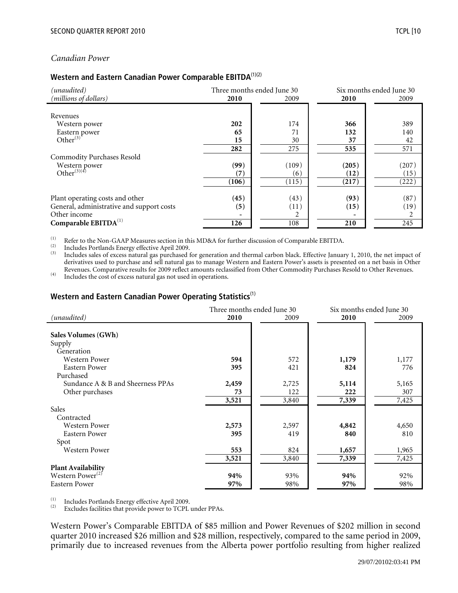#### *Canadian Power*

## **Western and Eastern Canadian Power Comparable EBITDA**(1)(2)

| (unaudited)<br>(millions of dollars)      | 2010  | Three months ended June 30<br>2009 | 2010  | Six months ended June 30<br>2009 |
|-------------------------------------------|-------|------------------------------------|-------|----------------------------------|
|                                           |       |                                    |       |                                  |
| Revenues                                  |       |                                    |       |                                  |
| Western power                             | 202   | 174                                | 366   | 389                              |
| Eastern power                             | 65    | 71                                 | 132   | 140                              |
| Other $^{(3)}$                            | 15    | 30                                 | 37    | 42                               |
|                                           | 282   | 275                                | 535   | 571                              |
| <b>Commodity Purchases Resold</b>         |       |                                    |       |                                  |
| Western power                             | (99)  | (109)                              | (205) | (207)                            |
| Other $^{(3)(4)}$                         | (7)   | (6)                                | (12)  | (15)                             |
|                                           | (106) | (115)                              | (217) | (222)                            |
|                                           |       |                                    |       |                                  |
| Plant operating costs and other           | (45)  | (43)                               | (93)  | (87)                             |
| General, administrative and support costs | (5)   | (11)                               | (15)  | (19)                             |
| Other income                              |       |                                    |       |                                  |
| Comparable EBITDA <sup>(1)</sup>          | 126   | 108                                | 210   | 245                              |

The US of the Non-GAAP Measures section in this MD&A for further discussion of Comparable EBITDA.<br>
Includes Portlands Energy effective April 2009.<br>
Includes sales of excess natural gas purchased for generation and thermal derivatives used to purchase and sell natural gas to manage Western and Eastern Power's assets is presented on a net basis in Other Revenues. Comparative results for 2009 reflect amounts reclassified from Other Commodity Purchases Resold to Other Revenues.<br>Includes the cost of excess natural gas not used in operations.

#### **Western and Eastern Canadian Power Operating Statistics**(1)

|                                   |       | Three months ended June 30 | Six months ended June 30 |       |  |
|-----------------------------------|-------|----------------------------|--------------------------|-------|--|
| (unaudited)                       | 2010  | 2009                       | 2010                     | 2009  |  |
|                                   |       |                            |                          |       |  |
| Sales Volumes (GWh)               |       |                            |                          |       |  |
| Supply                            |       |                            |                          |       |  |
| Generation                        |       |                            |                          |       |  |
| Western Power                     | 594   | 572                        | 1,179                    | 1,177 |  |
| Eastern Power                     | 395   | 421                        | 824                      | 776   |  |
| Purchased                         |       |                            |                          |       |  |
| Sundance A & B and Sheerness PPAs | 2,459 | 2,725                      | 5,114                    | 5,165 |  |
| Other purchases                   | 73    | 122                        | 222                      | 307   |  |
|                                   | 3,521 | 3,840                      | 7,339                    | 7,425 |  |
| Sales                             |       |                            |                          |       |  |
| Contracted                        |       |                            |                          |       |  |
| <b>Western Power</b>              | 2,573 | 2,597                      | 4,842                    | 4,650 |  |
| Eastern Power                     | 395   | 419                        | 840                      | 810   |  |
| Spot                              |       |                            |                          |       |  |
| Western Power                     | 553   | 824                        | 1,657                    | 1,965 |  |
|                                   | 3,521 | 3,840                      | 7,339                    | 7,425 |  |
| <b>Plant Availability</b>         |       |                            |                          |       |  |
| Western Power <sup>(2)</sup>      | 94%   | 93%                        | 94%                      | 92%   |  |
| <b>Eastern Power</b>              | 97%   | 98%                        | 97%                      | 98%   |  |

(1) Includes Portlands Energy effective April 2009.<br>  $(2)$  Excludes facilities that provide power to TCPL under PPAs.

Western Power's Comparable EBITDA of \$85 million and Power Revenues of \$202 million in second quarter 2010 increased \$26 million and \$28 million, respectively, compared to the same period in 2009, primarily due to increased revenues from the Alberta power portfolio resulting from higher realized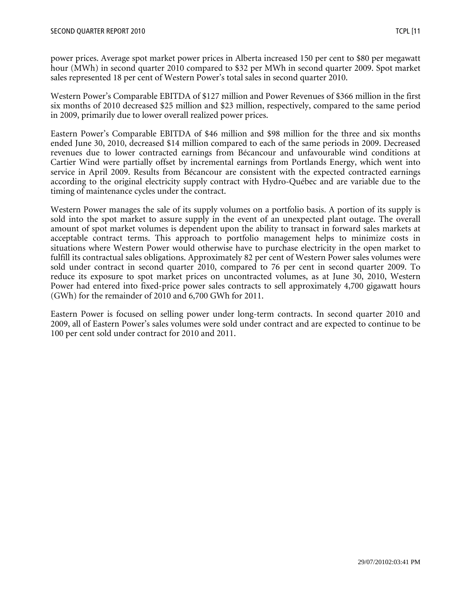power prices. Average spot market power prices in Alberta increased 150 per cent to \$80 per megawatt hour (MWh) in second quarter 2010 compared to \$32 per MWh in second quarter 2009. Spot market sales represented 18 per cent of Western Power's total sales in second quarter 2010.

Western Power's Comparable EBITDA of \$127 million and Power Revenues of \$366 million in the first six months of 2010 decreased \$25 million and \$23 million, respectively, compared to the same period in 2009, primarily due to lower overall realized power prices.

Eastern Power's Comparable EBITDA of \$46 million and \$98 million for the three and six months ended June 30, 2010, decreased \$14 million compared to each of the same periods in 2009. Decreased revenues due to lower contracted earnings from Bécancour and unfavourable wind conditions at Cartier Wind were partially offset by incremental earnings from Portlands Energy, which went into service in April 2009. Results from Bécancour are consistent with the expected contracted earnings according to the original electricity supply contract with Hydro-Québec and are variable due to the timing of maintenance cycles under the contract.

Western Power manages the sale of its supply volumes on a portfolio basis. A portion of its supply is sold into the spot market to assure supply in the event of an unexpected plant outage. The overall amount of spot market volumes is dependent upon the ability to transact in forward sales markets at acceptable contract terms. This approach to portfolio management helps to minimize costs in situations where Western Power would otherwise have to purchase electricity in the open market to fulfill its contractual sales obligations. Approximately 82 per cent of Western Power sales volumes were sold under contract in second quarter 2010, compared to 76 per cent in second quarter 2009. To reduce its exposure to spot market prices on uncontracted volumes, as at June 30, 2010, Western Power had entered into fixed-price power sales contracts to sell approximately 4,700 gigawatt hours (GWh) for the remainder of 2010 and 6,700 GWh for 2011.

Eastern Power is focused on selling power under long-term contracts. In second quarter 2010 and 2009, all of Eastern Power's sales volumes were sold under contract and are expected to continue to be 100 per cent sold under contract for 2010 and 2011.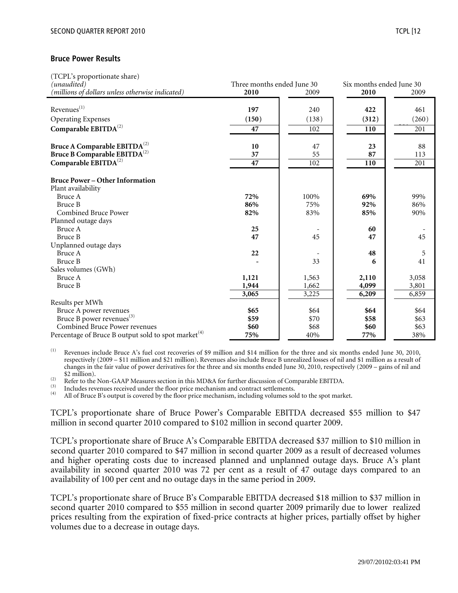#### **Bruce Power Results**

| (TCPL's proportionate share)                                    |                            |       |                          |       |  |
|-----------------------------------------------------------------|----------------------------|-------|--------------------------|-------|--|
| (unaudited)                                                     | Three months ended June 30 |       | Six months ended June 30 |       |  |
| (millions of dollars unless otherwise indicated)                | 2010                       | 2009  | 2010                     | 2009  |  |
|                                                                 |                            |       |                          |       |  |
| $Revenues^{(1)}$                                                | 197                        | 240   | 422                      | 461   |  |
| <b>Operating Expenses</b>                                       | (150)                      | (138) | (312)                    | (260) |  |
| Comparable EBITDA <sup>(2)</sup>                                | 47                         | 102   | 110                      | 201   |  |
| Bruce A Comparable $EBITDA^{(2)}$                               | 10                         | 47    | 23                       | 88    |  |
| Bruce B Comparable EBITDA <sup>(2)</sup>                        | 37                         | 55    | 87                       | 113   |  |
| Comparable EBITDA <sup>(2)</sup>                                | 47                         | 102   | 110                      | 201   |  |
| <b>Bruce Power – Other Information</b>                          |                            |       |                          |       |  |
| Plant availability                                              |                            |       |                          |       |  |
| Bruce A                                                         | 72%                        | 100%  | 69%                      | 99%   |  |
| <b>Bruce B</b>                                                  | 86%                        | 75%   | 92%                      | 86%   |  |
| <b>Combined Bruce Power</b>                                     | 82%                        | 83%   | 85%                      | 90%   |  |
| Planned outage days                                             |                            |       |                          |       |  |
| Bruce A                                                         | 25                         |       | 60                       |       |  |
| <b>Bruce B</b>                                                  | 47                         | 45    | 47                       | 45    |  |
| Unplanned outage days                                           |                            |       |                          |       |  |
| Bruce A                                                         | 22                         |       | 48                       | 5     |  |
| Bruce B                                                         |                            | 33    | 6                        | 41    |  |
| Sales volumes (GWh)                                             |                            |       |                          |       |  |
| Bruce A                                                         | 1,121                      | 1,563 | 2,110                    | 3,058 |  |
| Bruce B                                                         | 1,944                      | 1,662 | 4,099                    | 3,801 |  |
|                                                                 | 3,065                      | 3,225 | 6,209                    | 6,859 |  |
| Results per MWh                                                 |                            |       |                          |       |  |
| Bruce A power revenues                                          | \$65                       | \$64  | \$64                     | \$64  |  |
| Bruce B power revenues <sup>(3)</sup>                           | \$59                       | \$70  | \$58                     | \$63  |  |
| <b>Combined Bruce Power revenues</b>                            | \$60                       | \$68  | \$60                     | \$63  |  |
| Percentage of Bruce B output sold to spot market <sup>(4)</sup> | 75%                        | 40%   | 77%                      | 38%   |  |

(1) Revenues include Bruce A's fuel cost recoveries of \$9 million and \$14 million for the three and six months ended June 30, 2010, respectively (2009 – \$11 million and \$21 million). Revenues also include Bruce B unrealized losses of nil and \$1 million as a result of changes in the fair value of power derivatives for the three and six months ended June 30, 2010, respectively (2009 – gains of nil and

The US of Comparable EBITDA.<br>
The Non-GAAP Measures section in this MD&A for further discussion of Comparable EBITDA.<br>
Includes revenues received under the floor price mechanism and contract settlements.<br>
All of Bruce B's

TCPL's proportionate share of Bruce Power's Comparable EBITDA decreased \$55 million to \$47 million in second quarter 2010 compared to \$102 million in second quarter 2009.

TCPL's proportionate share of Bruce A's Comparable EBITDA decreased \$37 million to \$10 million in second quarter 2010 compared to \$47 million in second quarter 2009 as a result of decreased volumes and higher operating costs due to increased planned and unplanned outage days. Bruce A's plant availability in second quarter 2010 was 72 per cent as a result of 47 outage days compared to an availability of 100 per cent and no outage days in the same period in 2009.

TCPL's proportionate share of Bruce B's Comparable EBITDA decreased \$18 million to \$37 million in second quarter 2010 compared to \$55 million in second quarter 2009 primarily due to lower realized prices resulting from the expiration of fixed-price contracts at higher prices, partially offset by higher volumes due to a decrease in outage days.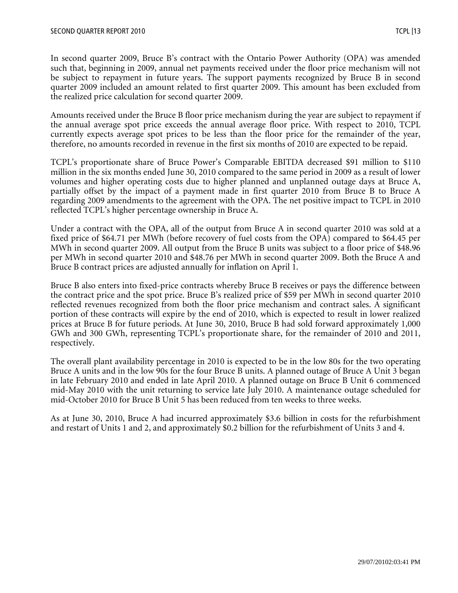In second quarter 2009, Bruce B's contract with the Ontario Power Authority (OPA) was amended such that, beginning in 2009, annual net payments received under the floor price mechanism will not be subject to repayment in future years. The support payments recognized by Bruce B in second quarter 2009 included an amount related to first quarter 2009. This amount has been excluded from the realized price calculation for second quarter 2009.

Amounts received under the Bruce B floor price mechanism during the year are subject to repayment if the annual average spot price exceeds the annual average floor price. With respect to 2010, TCPL currently expects average spot prices to be less than the floor price for the remainder of the year, therefore, no amounts recorded in revenue in the first six months of 2010 are expected to be repaid.

TCPL's proportionate share of Bruce Power's Comparable EBITDA decreased \$91 million to \$110 million in the six months ended June 30, 2010 compared to the same period in 2009 as a result of lower volumes and higher operating costs due to higher planned and unplanned outage days at Bruce A, partially offset by the impact of a payment made in first quarter 2010 from Bruce B to Bruce A regarding 2009 amendments to the agreement with the OPA. The net positive impact to TCPL in 2010 reflected TCPL's higher percentage ownership in Bruce A.

Under a contract with the OPA, all of the output from Bruce A in second quarter 2010 was sold at a fixed price of \$64.71 per MWh (before recovery of fuel costs from the OPA) compared to \$64.45 per MWh in second quarter 2009. All output from the Bruce B units was subject to a floor price of \$48.96 per MWh in second quarter 2010 and \$48.76 per MWh in second quarter 2009. Both the Bruce A and Bruce B contract prices are adjusted annually for inflation on April 1.

Bruce B also enters into fixed-price contracts whereby Bruce B receives or pays the difference between the contract price and the spot price. Bruce B's realized price of \$59 per MWh in second quarter 2010 reflected revenues recognized from both the floor price mechanism and contract sales. A significant portion of these contracts will expire by the end of 2010, which is expected to result in lower realized prices at Bruce B for future periods. At June 30, 2010, Bruce B had sold forward approximately 1,000 GWh and 300 GWh, representing TCPL's proportionate share, for the remainder of 2010 and 2011, respectively.

The overall plant availability percentage in 2010 is expected to be in the low 80s for the two operating Bruce A units and in the low 90s for the four Bruce B units. A planned outage of Bruce A Unit 3 began in late February 2010 and ended in late April 2010. A planned outage on Bruce B Unit 6 commenced mid-May 2010 with the unit returning to service late July 2010. A maintenance outage scheduled for mid-October 2010 for Bruce B Unit 5 has been reduced from ten weeks to three weeks.

As at June 30, 2010, Bruce A had incurred approximately \$3.6 billion in costs for the refurbishment and restart of Units 1 and 2, and approximately \$0.2 billion for the refurbishment of Units 3 and 4.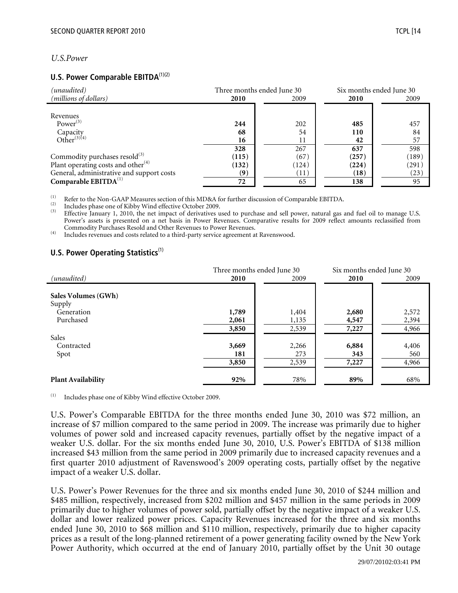## *U.S.Power*

#### **U.S. Power Comparable EBITDA**<sup>(1)(2)</sup>

| (unaudited)                               | Three months ended June 30 |       |       | Six months ended June 30 |  |
|-------------------------------------------|----------------------------|-------|-------|--------------------------|--|
| (millions of dollars)                     | 2010                       | 2009  | 2010  | 2009                     |  |
|                                           |                            |       |       |                          |  |
| Revenues                                  |                            |       |       |                          |  |
| Power $^{(3)}$                            | 244                        | 202   | 485   | 457                      |  |
| Capacity<br>Other <sup>(3)(4)</sup>       | 68                         | 54    | 110   | 84                       |  |
|                                           | 16                         | 11    | 42    | 57                       |  |
|                                           | 328                        | 267   | 637   | 598                      |  |
| Commodity purchases resold <sup>(3)</sup> | (115)                      | (67)  | (257) | (189)                    |  |
| Plant operating costs and other $(4)$     | (132)                      | (124) | (224) | (291)                    |  |
| General, administrative and support costs | (9)                        | (11)  | (18)  | (23)                     |  |
| Comparable $EBITDA(1)$                    | 72                         | 65    | 138   | 95                       |  |

The US of the Non-GAAP Measures section of this MD&A for further discussion of Comparable EBITDA.<br>
Includes phase one of Kibby Wind effective October 2009.<br>
<sup>(3)</sup> Effective January 1, 2010, the net impact of derivatives u Power's assets is presented on a net basis in Power Revenues. Comparative results for 2009 reflect amounts reclassified from

Commodity Purchases Resold and Other Revenues to Power Revenues. (4) Includes revenues and costs related to a third-party service agreement at Ravenswood.

#### **U.S. Power Operating Statistics**<sup>(1)</sup>

|                               | Three months ended June 30 |       | Six months ended June 30 |       |
|-------------------------------|----------------------------|-------|--------------------------|-------|
| (unaudited)                   | 2010                       | 2009  | 2010                     | 2009  |
| Sales Volumes (GWh)<br>Supply |                            |       |                          |       |
| Generation                    | 1,789                      | 1,404 | 2,680                    | 2,572 |
| Purchased                     | 2,061                      | 1,135 | 4,547                    | 2,394 |
|                               | 3,850                      | 2,539 | 7,227                    | 4,966 |
| Sales                         |                            |       |                          |       |
| Contracted                    | 3,669                      | 2,266 | 6,884                    | 4,406 |
| Spot                          | 181                        | 273   | 343                      | 560   |
|                               | 3,850                      | 2,539 | 7,227                    | 4,966 |
| <b>Plant Availability</b>     | 92%                        | 78%   | 89%                      | 68%   |

(1) Includes phase one of Kibby Wind effective October 2009.

U.S. Power's Comparable EBITDA for the three months ended June 30, 2010 was \$72 million, an increase of \$7 million compared to the same period in 2009. The increase was primarily due to higher volumes of power sold and increased capacity revenues, partially offset by the negative impact of a weaker U.S. dollar. For the six months ended June 30, 2010, U.S. Power's EBITDA of \$138 million increased \$43 million from the same period in 2009 primarily due to increased capacity revenues and a first quarter 2010 adjustment of Ravenswood's 2009 operating costs, partially offset by the negative impact of a weaker U.S. dollar.

U.S. Power's Power Revenues for the three and six months ended June 30, 2010 of \$244 million and \$485 million, respectively, increased from \$202 million and \$457 million in the same periods in 2009 primarily due to higher volumes of power sold, partially offset by the negative impact of a weaker U.S. dollar and lower realized power prices. Capacity Revenues increased for the three and six months ended June 30, 2010 to \$68 million and \$110 million, respectively, primarily due to higher capacity prices as a result of the long-planned retirement of a power generating facility owned by the New York Power Authority, which occurred at the end of January 2010, partially offset by the Unit 30 outage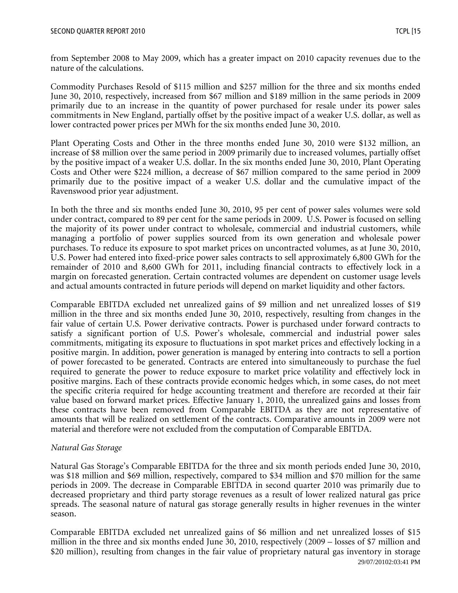from September 2008 to May 2009, which has a greater impact on 2010 capacity revenues due to the nature of the calculations.

Commodity Purchases Resold of \$115 million and \$257 million for the three and six months ended June 30, 2010, respectively, increased from \$67 million and \$189 million in the same periods in 2009 primarily due to an increase in the quantity of power purchased for resale under its power sales commitments in New England, partially offset by the positive impact of a weaker U.S. dollar, as well as lower contracted power prices per MWh for the six months ended June 30, 2010.

Plant Operating Costs and Other in the three months ended June 30, 2010 were \$132 million, an increase of \$8 million over the same period in 2009 primarily due to increased volumes, partially offset by the positive impact of a weaker U.S. dollar. In the six months ended June 30, 2010, Plant Operating Costs and Other were \$224 million, a decrease of \$67 million compared to the same period in 2009 primarily due to the positive impact of a weaker U.S. dollar and the cumulative impact of the Ravenswood prior year adjustment.

In both the three and six months ended June 30, 2010, 95 per cent of power sales volumes were sold under contract, compared to 89 per cent for the same periods in 2009. U.S. Power is focused on selling the majority of its power under contract to wholesale, commercial and industrial customers, while managing a portfolio of power supplies sourced from its own generation and wholesale power purchases. To reduce its exposure to spot market prices on uncontracted volumes, as at June 30, 2010, U.S. Power had entered into fixed-price power sales contracts to sell approximately 6,800 GWh for the remainder of 2010 and 8,600 GWh for 2011, including financial contracts to effectively lock in a margin on forecasted generation. Certain contracted volumes are dependent on customer usage levels and actual amounts contracted in future periods will depend on market liquidity and other factors.

Comparable EBITDA excluded net unrealized gains of \$9 million and net unrealized losses of \$19 million in the three and six months ended June 30, 2010, respectively, resulting from changes in the fair value of certain U.S. Power derivative contracts. Power is purchased under forward contracts to satisfy a significant portion of U.S. Power's wholesale, commercial and industrial power sales commitments, mitigating its exposure to fluctuations in spot market prices and effectively locking in a positive margin. In addition, power generation is managed by entering into contracts to sell a portion of power forecasted to be generated. Contracts are entered into simultaneously to purchase the fuel required to generate the power to reduce exposure to market price volatility and effectively lock in positive margins. Each of these contracts provide economic hedges which, in some cases, do not meet the specific criteria required for hedge accounting treatment and therefore are recorded at their fair value based on forward market prices. Effective January 1, 2010, the unrealized gains and losses from these contracts have been removed from Comparable EBITDA as they are not representative of amounts that will be realized on settlement of the contracts. Comparative amounts in 2009 were not material and therefore were not excluded from the computation of Comparable EBITDA.

# *Natural Gas Storage*

Natural Gas Storage's Comparable EBITDA for the three and six month periods ended June 30, 2010, was \$18 million and \$69 million, respectively, compared to \$34 million and \$70 million for the same periods in 2009. The decrease in Comparable EBITDA in second quarter 2010 was primarily due to decreased proprietary and third party storage revenues as a result of lower realized natural gas price spreads. The seasonal nature of natural gas storage generally results in higher revenues in the winter season.

29/07/20102:03:41 PM Comparable EBITDA excluded net unrealized gains of \$6 million and net unrealized losses of \$15 million in the three and six months ended June 30, 2010, respectively (2009 – losses of \$7 million and \$20 million), resulting from changes in the fair value of proprietary natural gas inventory in storage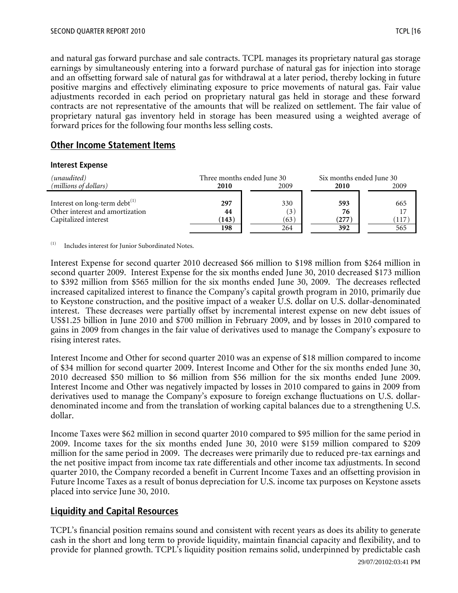and natural gas forward purchase and sale contracts. TCPL manages its proprietary natural gas storage earnings by simultaneously entering into a forward purchase of natural gas for injection into storage and an offsetting forward sale of natural gas for withdrawal at a later period, thereby locking in future positive margins and effectively eliminating exposure to price movements of natural gas. Fair value adjustments recorded in each period on proprietary natural gas held in storage and these forward contracts are not representative of the amounts that will be realized on settlement. The fair value of proprietary natural gas inventory held in storage has been measured using a weighted average of forward prices for the following four months less selling costs.

# **Other Income Statement Items**

#### **Interest Expense**

| (unaudited)                                                                                    |                    | Three months ended June 30 |                    | Six months ended June 30 |
|------------------------------------------------------------------------------------------------|--------------------|----------------------------|--------------------|--------------------------|
| ( <i>millions of dollars</i> )                                                                 | 2010               | 2009                       | 2010               | 2009                     |
| Interest on long-term debt $^{(1)}$<br>Other interest and amortization<br>Capitalized interest | 297<br>44<br>(143) | 330<br>(3)<br>(63)         | 593<br>76<br>(277) | 665<br>17<br>117         |
|                                                                                                | 198                | 264                        | 392                | 565                      |

 $(1)$  Includes interest for Junior Subordinated Notes.

Interest Expense for second quarter 2010 decreased \$66 million to \$198 million from \$264 million in second quarter 2009. Interest Expense for the six months ended June 30, 2010 decreased \$173 million to \$392 million from \$565 million for the six months ended June 30, 2009. The decreases reflected increased capitalized interest to finance the Company's capital growth program in 2010, primarily due to Keystone construction, and the positive impact of a weaker U.S. dollar on U.S. dollar-denominated interest. These decreases were partially offset by incremental interest expense on new debt issues of US\$1.25 billion in June 2010 and \$700 million in February 2009, and by losses in 2010 compared to gains in 2009 from changes in the fair value of derivatives used to manage the Company's exposure to rising interest rates.

Interest Income and Other for second quarter 2010 was an expense of \$18 million compared to income of \$34 million for second quarter 2009. Interest Income and Other for the six months ended June 30, 2010 decreased \$50 million to \$6 million from \$56 million for the six months ended June 2009. Interest Income and Other was negatively impacted by losses in 2010 compared to gains in 2009 from derivatives used to manage the Company's exposure to foreign exchange fluctuations on U.S. dollardenominated income and from the translation of working capital balances due to a strengthening U.S. dollar.

Income Taxes were \$62 million in second quarter 2010 compared to \$95 million for the same period in 2009. Income taxes for the six months ended June 30, 2010 were \$159 million compared to \$209 million for the same period in 2009. The decreases were primarily due to reduced pre-tax earnings and the net positive impact from income tax rate differentials and other income tax adjustments. In second quarter 2010, the Company recorded a benefit in Current Income Taxes and an offsetting provision in Future Income Taxes as a result of bonus depreciation for U.S. income tax purposes on Keystone assets placed into service June 30, 2010.

# **Liquidity and Capital Resources**

TCPL's financial position remains sound and consistent with recent years as does its ability to generate cash in the short and long term to provide liquidity, maintain financial capacity and flexibility, and to provide for planned growth. TCPL's liquidity position remains solid, underpinned by predictable cash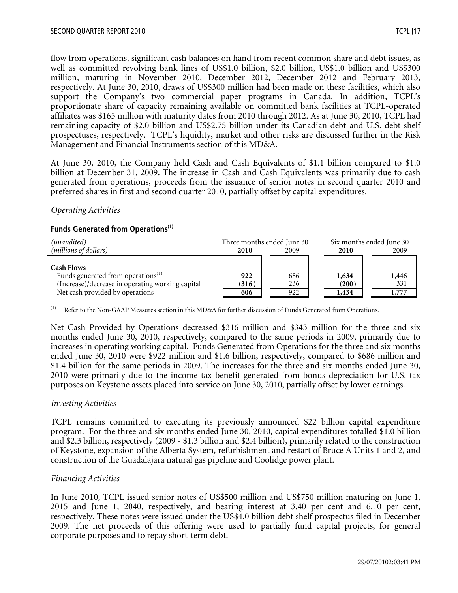flow from operations, significant cash balances on hand from recent common share and debt issues, as well as committed revolving bank lines of US\$1.0 billion, \$2.0 billion, US\$1.0 billion and US\$300 million, maturing in November 2010, December 2012, December 2012 and February 2013, respectively. At June 30, 2010, draws of US\$300 million had been made on these facilities, which also support the Company's two commercial paper programs in Canada. In addition, TCPL's proportionate share of capacity remaining available on committed bank facilities at TCPL-operated affiliates was \$165 million with maturity dates from 2010 through 2012. As at June 30, 2010, TCPL had remaining capacity of \$2.0 billion and US\$2.75 billion under its Canadian debt and U.S. debt shelf prospectuses, respectively. TCPL's liquidity, market and other risks are discussed further in the Risk Management and Financial Instruments section of this MD&A.

At June 30, 2010, the Company held Cash and Cash Equivalents of \$1.1 billion compared to \$1.0 billion at December 31, 2009. The increase in Cash and Cash Equivalents was primarily due to cash generated from operations, proceeds from the issuance of senior notes in second quarter 2010 and preferred shares in first and second quarter 2010, partially offset by capital expenditures.

#### *Operating Activities*

## **Funds Generated from Operations**(1)

| (unaudited)                                      |       | Three months ended June 30 |       | Six months ended June 30 |
|--------------------------------------------------|-------|----------------------------|-------|--------------------------|
| (millions of dollars)                            | 2010  | 2009                       | 2010  | 2009                     |
|                                                  |       |                            |       |                          |
| <b>Cash Flows</b>                                |       |                            |       |                          |
| Funds generated from operations <sup>(1)</sup>   | 922   | 686                        | 1,634 | 1,446                    |
| (Increase)/decrease in operating working capital | (316) | 236                        | (200) | 331                      |
| Net cash provided by operations                  | 606   | 922                        | 1,434 |                          |

<sup>(1)</sup> Refer to the Non-GAAP Measures section in this MD&A for further discussion of Funds Generated from Operations.

Net Cash Provided by Operations decreased \$316 million and \$343 million for the three and six months ended June 30, 2010, respectively, compared to the same periods in 2009, primarily due to increases in operating working capital. Funds Generated from Operations for the three and six months ended June 30, 2010 were \$922 million and \$1.6 billion, respectively, compared to \$686 million and \$1.4 billion for the same periods in 2009. The increases for the three and six months ended June 30, 2010 were primarily due to the income tax benefit generated from bonus depreciation for U.S. tax purposes on Keystone assets placed into service on June 30, 2010, partially offset by lower earnings.

#### *Investing Activities*

TCPL remains committed to executing its previously announced \$22 billion capital expenditure program. For the three and six months ended June 30, 2010, capital expenditures totalled \$1.0 billion and \$2.3 billion, respectively (2009 - \$1.3 billion and \$2.4 billion), primarily related to the construction of Keystone, expansion of the Alberta System, refurbishment and restart of Bruce A Units 1 and 2, and construction of the Guadalajara natural gas pipeline and Coolidge power plant.

#### *Financing Activities*

In June 2010, TCPL issued senior notes of US\$500 million and US\$750 million maturing on June 1, 2015 and June 1, 2040, respectively, and bearing interest at 3.40 per cent and 6.10 per cent, respectively. These notes were issued under the US\$4.0 billion debt shelf prospectus filed in December 2009. The net proceeds of this offering were used to partially fund capital projects, for general corporate purposes and to repay short-term debt.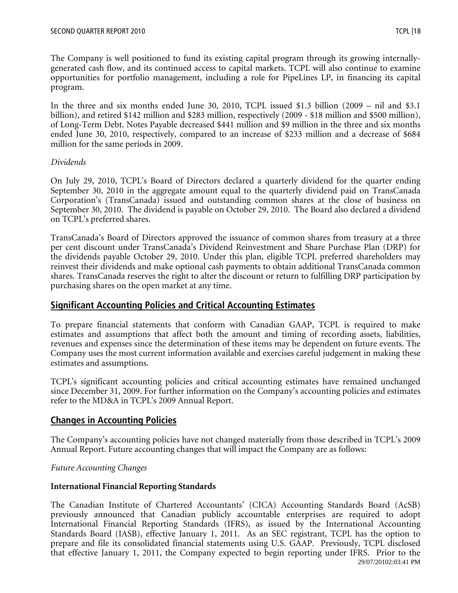The Company is well positioned to fund its existing capital program through its growing internallygenerated cash flow, and its continued access to capital markets. TCPL will also continue to examine opportunities for portfolio management, including a role for PipeLines LP, in financing its capital program.

In the three and six months ended June 30, 2010, TCPL issued \$1.3 billion (2009 – nil and \$3.1 billion), and retired \$142 million and \$283 million, respectively (2009 - \$18 million and \$500 million), of Long-Term Debt. Notes Payable decreased \$441 million and \$9 million in the three and six months ended June 30, 2010, respectively, compared to an increase of \$233 million and a decrease of \$684 million for the same periods in 2009.

## *Dividends*

On July 29, 2010, TCPL's Board of Directors declared a quarterly dividend for the quarter ending September 30, 2010 in the aggregate amount equal to the quarterly dividend paid on TransCanada Corporation's (TransCanada) issued and outstanding common shares at the close of business on September 30, 2010. The dividend is payable on October 29, 2010. The Board also declared a dividend on TCPL's preferred shares.

TransCanada's Board of Directors approved the issuance of common shares from treasury at a three per cent discount under TransCanada's Dividend Reinvestment and Share Purchase Plan (DRP) for the dividends payable October 29, 2010. Under this plan, eligible TCPL preferred shareholders may reinvest their dividends and make optional cash payments to obtain additional TransCanada common shares. TransCanada reserves the right to alter the discount or return to fulfilling DRP participation by purchasing shares on the open market at any time.

# **Significant Accounting Policies and Critical Accounting Estimates**

To prepare financial statements that conform with Canadian GAAP, TCPL is required to make estimates and assumptions that affect both the amount and timing of recording assets, liabilities, revenues and expenses since the determination of these items may be dependent on future events. The Company uses the most current information available and exercises careful judgement in making these estimates and assumptions.

TCPL's significant accounting policies and critical accounting estimates have remained unchanged since December 31, 2009. For further information on the Company's accounting policies and estimates refer to the MD&A in TCPL's 2009 Annual Report.

# **Changes in Accounting Policies**

The Company's accounting policies have not changed materially from those described in TCPL's 2009 Annual Report. Future accounting changes that will impact the Company are as follows:

# *Future Accounting Changes*

# **International Financial Reporting Standards**

29/07/20102:03:41 PM The Canadian Institute of Chartered Accountants' (CICA) Accounting Standards Board (AcSB) previously announced that Canadian publicly accountable enterprises are required to adopt International Financial Reporting Standards (IFRS), as issued by the International Accounting Standards Board (IASB), effective January 1, 2011. As an SEC registrant, TCPL has the option to prepare and file its consolidated financial statements using U.S. GAAP. Previously, TCPL disclosed that effective January 1, 2011, the Company expected to begin reporting under IFRS. Prior to the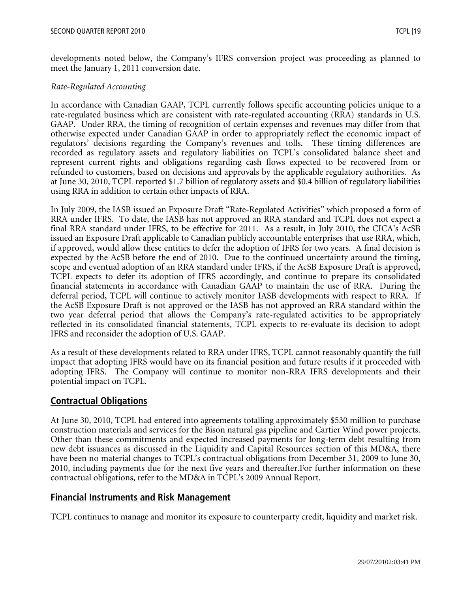developments noted below, the Company's IFRS conversion project was proceeding as planned to meet the January 1, 2011 conversion date.

#### *Rate-Regulated Accounting*

In accordance with Canadian GAAP, TCPL currently follows specific accounting policies unique to a rate-regulated business which are consistent with rate-regulated accounting (RRA) standards in U.S. GAAP. Under RRA, the timing of recognition of certain expenses and revenues may differ from that otherwise expected under Canadian GAAP in order to appropriately reflect the economic impact of regulators' decisions regarding the Company's revenues and tolls. These timing differences are recorded as regulatory assets and regulatory liabilities on TCPL's consolidated balance sheet and represent current rights and obligations regarding cash flows expected to be recovered from or refunded to customers, based on decisions and approvals by the applicable regulatory authorities. As at June 30, 2010, TCPL reported \$1.7 billion of regulatory assets and \$0.4 billion of regulatory liabilities using RRA in addition to certain other impacts of RRA.

In July 2009, the IASB issued an Exposure Draft "Rate-Regulated Activities" which proposed a form of RRA under IFRS. To date, the IASB has not approved an RRA standard and TCPL does not expect a final RRA standard under IFRS, to be effective for 2011. As a result, in July 2010, the CICA's AcSB issued an Exposure Draft applicable to Canadian publicly accountable enterprises that use RRA, which, if approved, would allow these entities to defer the adoption of IFRS for two years. A final decision is expected by the AcSB before the end of 2010. Due to the continued uncertainty around the timing, scope and eventual adoption of an RRA standard under IFRS, if the AcSB Exposure Draft is approved, TCPL expects to defer its adoption of IFRS accordingly, and continue to prepare its consolidated financial statements in accordance with Canadian GAAP to maintain the use of RRA. During the deferral period, TCPL will continue to actively monitor IASB developments with respect to RRA. If the AcSB Exposure Draft is not approved or the IASB has not approved an RRA standard within the two year deferral period that allows the Company's rate-regulated activities to be appropriately reflected in its consolidated financial statements, TCPL expects to re-evaluate its decision to adopt IFRS and reconsider the adoption of U.S. GAAP.

As a result of these developments related to RRA under IFRS, TCPL cannot reasonably quantify the full impact that adopting IFRS would have on its financial position and future results if it proceeded with adopting IFRS. The Company will continue to monitor non-RRA IFRS developments and their potential impact on TCPL.

# **Contractual Obligations**

At June 30, 2010, TCPL had entered into agreements totalling approximately \$530 million to purchase construction materials and services for the Bison natural gas pipeline and Cartier Wind power projects. Other than these commitments and expected increased payments for long-term debt resulting from new debt issuances as discussed in the Liquidity and Capital Resources section of this MD&A, there have been no material changes to TCPL's contractual obligations from December 31, 2009 to June 30, 2010, including payments due for the next five years and thereafter.For further information on these contractual obligations, refer to the MD&A in TCPL's 2009 Annual Report.

#### **Financial Instruments and Risk Management**

TCPL continues to manage and monitor its exposure to counterparty credit, liquidity and market risk.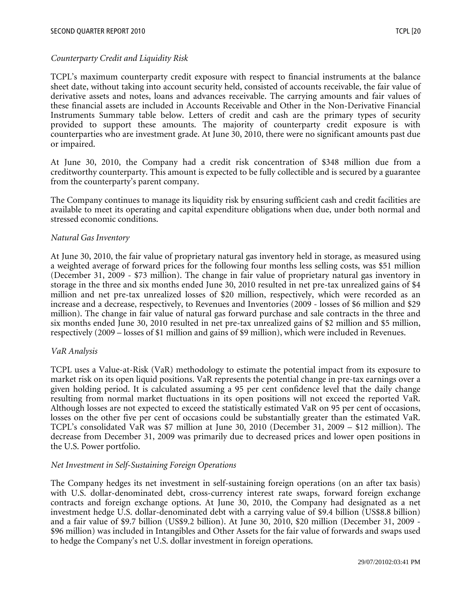#### *Counterparty Credit and Liquidity Risk*

TCPL's maximum counterparty credit exposure with respect to financial instruments at the balance sheet date, without taking into account security held, consisted of accounts receivable, the fair value of derivative assets and notes, loans and advances receivable. The carrying amounts and fair values of these financial assets are included in Accounts Receivable and Other in the Non-Derivative Financial Instruments Summary table below. Letters of credit and cash are the primary types of security provided to support these amounts. The majority of counterparty credit exposure is with counterparties who are investment grade. At June 30, 2010, there were no significant amounts past due or impaired.

At June 30, 2010, the Company had a credit risk concentration of \$348 million due from a creditworthy counterparty. This amount is expected to be fully collectible and is secured by a guarantee from the counterparty's parent company.

The Company continues to manage its liquidity risk by ensuring sufficient cash and credit facilities are available to meet its operating and capital expenditure obligations when due, under both normal and stressed economic conditions.

#### *Natural Gas Inventory*

At June 30, 2010, the fair value of proprietary natural gas inventory held in storage, as measured using a weighted average of forward prices for the following four months less selling costs, was \$51 million (December 31, 2009 - \$73 million). The change in fair value of proprietary natural gas inventory in storage in the three and six months ended June 30, 2010 resulted in net pre-tax unrealized gains of \$4 million and net pre-tax unrealized losses of \$20 million, respectively, which were recorded as an increase and a decrease, respectively, to Revenues and Inventories (2009 - losses of \$6 million and \$29 million). The change in fair value of natural gas forward purchase and sale contracts in the three and six months ended June 30, 2010 resulted in net pre-tax unrealized gains of \$2 million and \$5 million, respectively (2009 – losses of \$1 million and gains of \$9 million), which were included in Revenues.

#### *VaR Analysis*

TCPL uses a Value-at-Risk (VaR) methodology to estimate the potential impact from its exposure to market risk on its open liquid positions. VaR represents the potential change in pre-tax earnings over a given holding period. It is calculated assuming a 95 per cent confidence level that the daily change resulting from normal market fluctuations in its open positions will not exceed the reported VaR. Although losses are not expected to exceed the statistically estimated VaR on 95 per cent of occasions, losses on the other five per cent of occasions could be substantially greater than the estimated VaR. TCPL's consolidated VaR was \$7 million at June 30, 2010 (December 31, 2009 – \$12 million). The decrease from December 31, 2009 was primarily due to decreased prices and lower open positions in the U.S. Power portfolio.

#### *Net Investment in Self-Sustaining Foreign Operations*

The Company hedges its net investment in self-sustaining foreign operations (on an after tax basis) with U.S. dollar-denominated debt, cross-currency interest rate swaps, forward foreign exchange contracts and foreign exchange options. At June 30, 2010, the Company had designated as a net investment hedge U.S. dollar-denominated debt with a carrying value of \$9.4 billion (US\$8.8 billion) and a fair value of \$9.7 billion (US\$9.2 billion). At June 30, 2010, \$20 million (December 31, 2009 - \$96 million) was included in Intangibles and Other Assets for the fair value of forwards and swaps used to hedge the Company's net U.S. dollar investment in foreign operations.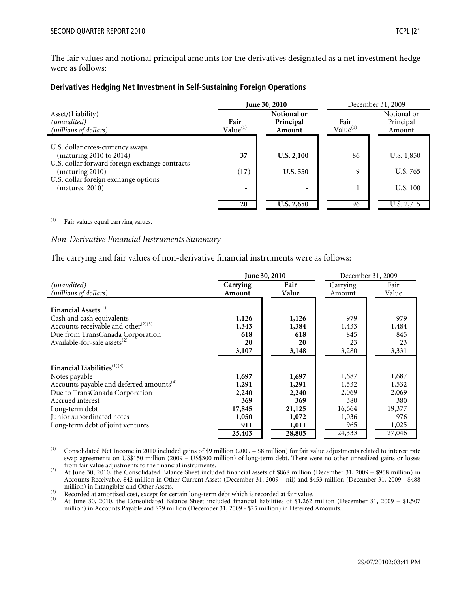The fair values and notional principal amounts for the derivatives designated as a net investment hedge were as follows:

#### **Derivatives Hedging Net Investment in Self-Sustaining Foreign Operations**

|                                                                   | <b>June 30, 2010</b>                                               |                          | December 31, 2009            |                                    |
|-------------------------------------------------------------------|--------------------------------------------------------------------|--------------------------|------------------------------|------------------------------------|
| Asset/(Liability)<br>(unaudited)<br>(millions of dollars)         | Notional or<br>Fair<br>Principal<br>Value <sup>(1)</sup><br>Amount |                          | Fair<br>Value <sup>(1)</sup> | Notional or<br>Principal<br>Amount |
| U.S. dollar cross-currency swaps                                  |                                                                    |                          |                              |                                    |
| (maturing 2010 to 2014)                                           | 37                                                                 | U.S. 2,100               | 86                           | U.S. 1,850                         |
| U.S. dollar forward foreign exchange contracts<br>(maturing 2010) | (17)                                                               | <b>U.S. 550</b>          | 9                            | U.S. 765                           |
| U.S. dollar foreign exchange options                              |                                                                    |                          |                              |                                    |
| (matured 2010)                                                    |                                                                    | $\overline{\phantom{0}}$ |                              | U.S. 100                           |
|                                                                   | 20                                                                 | <b>U.S. 2,650</b>        | 96                           | U.S. 2,715                         |

(1) Fair values equal carrying values.

#### *Non-Derivative Financial Instruments Summary*

The carrying and fair values of non-derivative financial instruments were as follows:

|                                                                                                                 | June 30, 2010           |                          | December 31, 2009       |                         |
|-----------------------------------------------------------------------------------------------------------------|-------------------------|--------------------------|-------------------------|-------------------------|
| (unaudited)<br>(millions of dollars)                                                                            | Carrying<br>Amount      | Fair<br>Value            | Carrying<br>Amount      | Fair<br>Value           |
| Financial Assets <sup>(1)</sup><br>Cash and cash equivalents<br>Accounts receivable and other <sup>(2)(3)</sup> | 1,126<br>1,343          | 1,126<br>1,384           | 979<br>1,433            | 979<br>1,484            |
| Due from TransCanada Corporation<br>Available-for-sale assets <sup>(2)</sup>                                    | 618<br>20<br>3,107      | 618<br>20<br>3,148       | 845<br>23<br>3,280      | 845<br>23<br>3,331      |
| Financial Liabilities $^{(1)(3)}$                                                                               |                         |                          |                         |                         |
| Notes payable<br>Accounts payable and deferred amounts <sup>(4)</sup><br>Due to TransCanada Corporation         | 1,697<br>1,291<br>2,240 | 1,697<br>1,291<br>2,240  | 1,687<br>1,532<br>2,069 | 1,687<br>1,532<br>2,069 |
| Accrued interest<br>Long-term debt                                                                              | 369<br>17,845           | 369<br>21,125            | 380<br>16,664           | 380<br>19,377           |
| Junior subordinated notes<br>Long-term debt of joint ventures                                                   | 1,050<br>911<br>25,403  | 1,072<br>1,011<br>28,805 | 1,036<br>965<br>24,333  | 976<br>1,025<br>27,046  |

(1) Consolidated Net Income in 2010 included gains of \$9 million (2009 – \$8 million) for fair value adjustments related to interest rate swap agreements on US\$150 million (2009 – US\$300 million) of long-term debt. There were no other unrealized gains or losses from fair value adjustments to the financial instruments.

(2) At June 30, 2010, the Consolidated Balance Sheet included financial assets of \$868 million (December 31, 2009 – \$968 million) in Accounts Receivable, \$42 million in Other Current Assets (December 31, 2009 – nil) and \$453 million (December 31, 2009 - \$488

(3) Recorded at amortized cost, except for certain long-term debt which is recorded at fair value.<br>
(4) At June 30, 2010, the Consolidated Balance Sheet included financial liabilities of \$1,262 million (December 31, 2009 – million) in Accounts Payable and \$29 million (December 31, 2009 - \$25 million) in Deferred Amounts.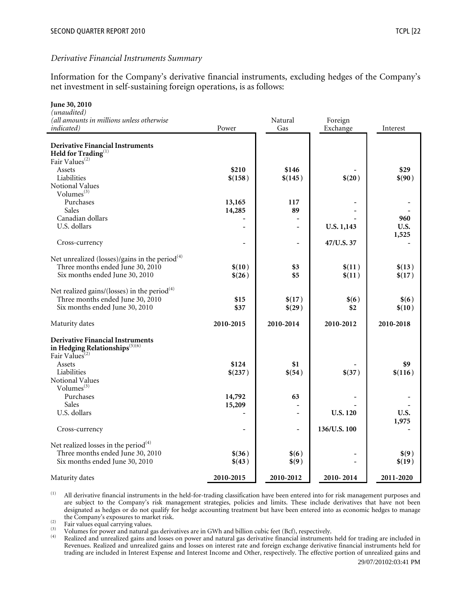#### *Derivative Financial Instruments Summary*

Information for the Company's derivative financial instruments, excluding hedges of the Company's net investment in self-sustaining foreign operations, is as follows:

| June 30, 2010                                                                       |              |                  |                 |                 |
|-------------------------------------------------------------------------------------|--------------|------------------|-----------------|-----------------|
| (unaudited)<br>(all amounts in millions unless otherwise                            |              | Natural          | Foreign         |                 |
| <i>indicated</i> )                                                                  | Power        | Gas              | Exchange        | Interest        |
|                                                                                     |              |                  |                 |                 |
| <b>Derivative Financial Instruments</b>                                             |              |                  |                 |                 |
| $\mathbf{Held}$ for $\mathbf{Trading}^{(1)}$ Fair $\mathbf{Values}^{(2)}$           |              |                  |                 |                 |
| Assets                                                                              | \$210        | \$146            |                 | \$29            |
| Liabilities                                                                         | \$(158)      | \$(145)          | \$(20)          | \$(90)          |
| Notional Values                                                                     |              |                  |                 |                 |
| Volumes <sup>(3)</sup>                                                              |              |                  |                 |                 |
| Purchases                                                                           | 13,165       | 117              |                 |                 |
| Sales                                                                               | 14,285       | 89               |                 |                 |
| Canadian dollars                                                                    |              |                  |                 | 960             |
| U.S. dollars                                                                        |              |                  | U.S. 1,143      | U.S.            |
| Cross-currency                                                                      |              | $\overline{a}$   | 47/U.S. 37      | 1,525           |
|                                                                                     |              |                  |                 |                 |
| Net unrealized (losses)/gains in the period <sup>(4)</sup>                          |              |                  |                 |                 |
| Three months ended June 30, 2010                                                    | \$(10)       | \$3              | \$(11)          | \$(13)          |
| Six months ended June 30, 2010                                                      | \$(26)       | \$5              | \$(11)          | \$(17)          |
|                                                                                     |              |                  |                 |                 |
| Net realized gains/(losses) in the period $(4)$<br>Three months ended June 30, 2010 |              |                  |                 |                 |
| Six months ended June 30, 2010                                                      | \$15<br>\$37 | \$(17)<br>\$(29) | \$(6)<br>\$2    | \$(6)<br>\$(10) |
|                                                                                     |              |                  |                 |                 |
| Maturity dates                                                                      | 2010-2015    | 2010-2014        | 2010-2012       | 2010-2018       |
| <b>Derivative Financial Instruments</b>                                             |              |                  |                 |                 |
| in Hedging Relationships <sup>(5)(6)</sup>                                          |              |                  |                 |                 |
| Fair Values <sup>(2)</sup>                                                          |              |                  |                 |                 |
| Assets                                                                              | \$124        | \$1              |                 | \$9             |
| Liabilities                                                                         | \$(237)      | \$(54)           | \$(37)          | \$(116)         |
| Notional Values<br>Volumes $^{(3)}$                                                 |              |                  |                 |                 |
| Purchases                                                                           | 14,792       | 63               |                 |                 |
| Sales                                                                               | 15,209       |                  |                 |                 |
| U.S. dollars                                                                        |              | $\overline{a}$   | <b>U.S. 120</b> | U.S.            |
|                                                                                     |              |                  |                 | 1,975           |
| Cross-currency                                                                      |              | $\overline{a}$   | 136/U.S. 100    |                 |
| Net realized losses in the period $(4)$                                             |              |                  |                 |                 |
| Three months ended June 30, 2010                                                    | \$(36)       | \$(6)            |                 | \$(9)           |
| Six months ended June 30, 2010                                                      | \$(43)       | \$(9)            |                 | \$(19)          |
|                                                                                     |              |                  |                 |                 |
| Maturity dates                                                                      | 2010-2015    | 2010-2012        | 2010-2014       | 2011-2020       |

(1) All derivative financial instruments in the held-for-trading classification have been entered into for risk management purposes and are subject to the Company's risk management strategies, policies and limits. These include derivatives that have not been designated as hedges or do not qualify for hedge accounting treatment but have been entered into as economic hedges to manage the Company's exposures to market risk.

Fair values equal carrying values.<br>
Fair values equal carrying values.<br>
Volumes for power and natural gas derivatives are in GWh and billion cubic feet (Bcf), respectively.<br>
Realized and unrealized gains and losses on powe Revenues. Realized and unrealized gains and losses on interest rate and foreign exchange derivative financial instruments held for trading are included in Interest Expense and Interest Income and Other, respectively. The effective portion of unrealized gains and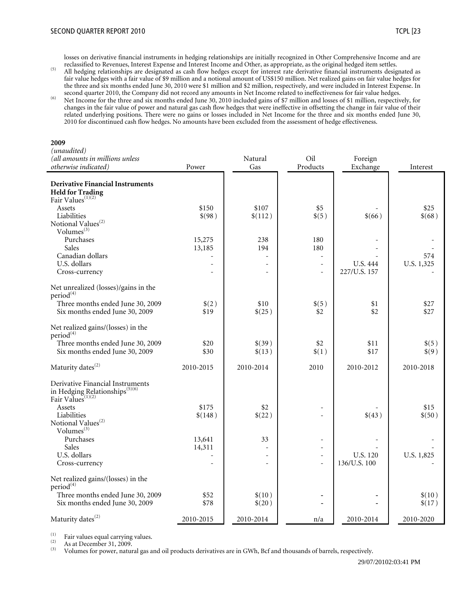losses on derivative financial instruments in hedging relationships are initially recognized in Other Comprehensive Income and are

- reclassified to Revenues, Interest Expense and Interest Income and Other, as appropriate, as the original hedged item settles.<br><sup>(5)</sup> All hedging relationships are designated as cash flow hedges except for interest rate der fair value hedges with a fair value of \$9 million and a notional amount of US\$150 million. Net realized gains on fair value hedges for the three and six months ended June 30, 2010 were \$1 million and \$2 million, respectively, and were included in Interest Expense. In second quarter 2010, the Company did not record any amounts in Net Income related to inef
- <sup>(6)</sup> Net Income for the three and six months ended June 30, 2010 included gains of \$7 million and losses of \$1 million, respectively, for changes in the fair value of power and natural gas cash flow hedges that were ineffective in offsetting the change in fair value of their related underlying positions. There were no gains or losses included in Net Income for the three and six months ended June 30, 2010 for discontinued cash flow hedges. No amounts have been excluded from the assessment of hedge effectiveness.

#### **2009**

| (unaudited)                                                                 |           |           |                          |                 |            |
|-----------------------------------------------------------------------------|-----------|-----------|--------------------------|-----------------|------------|
| (all amounts in millions unless                                             |           | Natural   | Oil                      | Foreign         |            |
| otherwise indicated)                                                        | Power     | Gas       | Products                 | Exchange        | Interest   |
| <b>Derivative Financial Instruments</b>                                     |           |           |                          |                 |            |
| <b>Held for Trading</b>                                                     |           |           |                          |                 |            |
| Fair Values <sup>(1)(2)</sup>                                               |           |           |                          |                 |            |
| Assets                                                                      | \$150     | \$107     | \$5                      |                 | \$25       |
| Liabilities                                                                 | \$(98)    | \$(112)   | \$(5)                    | \$(66)          | \$(68)     |
| Notional Values <sup>(2)</sup>                                              |           |           |                          |                 |            |
| Volumes $^{(3)}$                                                            |           |           |                          |                 |            |
| Purchases                                                                   | 15,275    | 238       | 180                      |                 |            |
| Sales                                                                       | 13,185    | 194       | 180                      |                 |            |
| Canadian dollars                                                            |           | ÷.        | $\bar{a}$                |                 | 574        |
| U.S. dollars                                                                |           |           | $\sim$                   | U.S. 444        | U.S. 1,325 |
| Cross-currency                                                              |           |           | $\overline{\phantom{a}}$ | 227/U.S. 157    |            |
| Net unrealized (losses)/gains in the                                        |           |           |                          |                 |            |
| period <sup>(4)</sup>                                                       |           |           |                          |                 |            |
| Three months ended June 30, 2009                                            | \$(2)     | \$10      | \$(5)                    | \$1             | \$27       |
| Six months ended June 30, 2009                                              | \$19      | \$(25)    | \$2                      | \$2             | \$27       |
| Net realized gains/(losses) in the                                          |           |           |                          |                 |            |
| period <sup>(4)</sup>                                                       |           |           |                          |                 |            |
| Three months ended June 30, 2009                                            | \$20      | \$(39)    | \$2                      | \$11            | \$(5)      |
| Six months ended June 30, 2009                                              | \$30      | \$(13)    | \$(1)                    | \$17            | \$(9)      |
|                                                                             |           |           |                          |                 |            |
| Maturity dates <sup>(2)</sup>                                               | 2010-2015 | 2010-2014 | 2010                     | 2010-2012       | 2010-2018  |
| Derivative Financial Instruments                                            |           |           |                          |                 |            |
|                                                                             |           |           |                          |                 |            |
| in Hedging Relationships <sup>(5)(6)</sup><br>Fair Values <sup>(1)(2)</sup> |           |           |                          |                 |            |
| Assets                                                                      | \$175     | \$2       | $\sim$                   |                 | \$15       |
| Liabilities                                                                 | \$(148)   | \$(22)    |                          | \$(43)          | \$(50)     |
| Notional Values <sup>(2)</sup>                                              |           |           |                          |                 |            |
| Volumes $^{(3)}$                                                            |           |           |                          |                 |            |
| Purchases                                                                   | 13,641    | 33        |                          |                 |            |
| Sales                                                                       | 14,311    |           | $\overline{\phantom{a}}$ |                 |            |
| U.S. dollars                                                                |           |           | $\overline{a}$           | <b>U.S. 120</b> | U.S. 1,825 |
| Cross-currency                                                              |           |           | ÷.                       | 136/U.S. 100    |            |
| Net realized gains/(losses) in the<br>period <sup>(4)</sup>                 |           |           |                          |                 |            |
| Three months ended June 30, 2009                                            | \$52      | \$(10)    |                          |                 | \$(10)     |
| Six months ended June 30, 2009                                              | \$78      | \$(20)    |                          |                 | \$(17)     |
| Maturity dates <sup>(2)</sup>                                               | 2010-2015 | 2010-2014 | n/a                      | 2010-2014       | 2010-2020  |
|                                                                             |           |           |                          |                 |            |

(1) Fair values equal carrying values.<br>
As at December 31, 2009.<br>
(3) Volumes for power patural gas a

(3) Volumes for power, natural gas and oil products derivatives are in GWh, Bcf and thousands of barrels, respectively.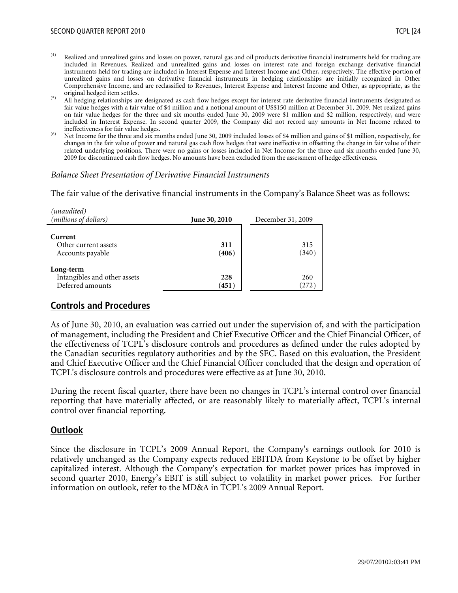- $(4)$  Realized and unrealized gains and losses on power, natural gas and oil products derivative financial instruments held for trading are included in Revenues. Realized and unrealized gains and losses on interest rate and foreign exchange derivative financial instruments held for trading are included in Interest Expense and Interest Income and Other, respectively. The effective portion of unrealized gains and losses on derivative financial instruments in hedging relationships are initially recognized in Other Comprehensive Income, and are reclassified to Revenues, Interest Expense and Interest Income and Other, as appropriate, as the
- original hedged item settles.<br>
(5) All hedging relationships are designated as cash flow hedges except for interest rate derivative financial instruments designated as fair value hedges with a fair value of \$4 million and a notional amount of US\$150 million at December 31, 2009. Net realized gains on fair value hedges for the three and six months ended June 30, 2009 were \$1 million and \$2 million, respectively, and were included in Interest Expense. In second quarter 2009, the Company did not record any amounts in Net Income related to
- <sup>(6)</sup> Net Income for the three and six months ended June 30, 2009 included losses of \$4 million and gains of \$1 million, respectively, for changes in the fair value of power and natural gas cash flow hedges that were ineffective in offsetting the change in fair value of their related underlying positions. There were no gains or losses included in Net Income for the three and six months ended June 30, 2009 for discontinued cash flow hedges. No amounts have been excluded from the assessment of hedge effectiveness.

#### *Balance Sheet Presentation of Derivative Financial Instruments*

The fair value of the derivative financial instruments in the Company's Balance Sheet was as follows:

| (unaudited)<br>(millions of dollars)                          | <b>June 30, 2010</b> | December 31, 2009 |
|---------------------------------------------------------------|----------------------|-------------------|
| Current<br>Other current assets<br>Accounts payable           | 311<br>(406)         | 315<br>(340)      |
| Long-term<br>Intangibles and other assets<br>Deferred amounts | 228<br>(451)         | 260<br>(272)      |

# **Controls and Procedures**

As of June 30, 2010, an evaluation was carried out under the supervision of, and with the participation of management, including the President and Chief Executive Officer and the Chief Financial Officer, of the effectiveness of TCPL's disclosure controls and procedures as defined under the rules adopted by the Canadian securities regulatory authorities and by the SEC. Based on this evaluation, the President and Chief Executive Officer and the Chief Financial Officer concluded that the design and operation of TCPL's disclosure controls and procedures were effective as at June 30, 2010.

During the recent fiscal quarter, there have been no changes in TCPL's internal control over financial reporting that have materially affected, or are reasonably likely to materially affect, TCPL's internal control over financial reporting.

# **Outlook**

Since the disclosure in TCPL's 2009 Annual Report, the Company's earnings outlook for 2010 is relatively unchanged as the Company expects reduced EBITDA from Keystone to be offset by higher capitalized interest. Although the Company's expectation for market power prices has improved in second quarter 2010, Energy's EBIT is still subject to volatility in market power prices. For further information on outlook, refer to the MD&A in TCPL's 2009 Annual Report.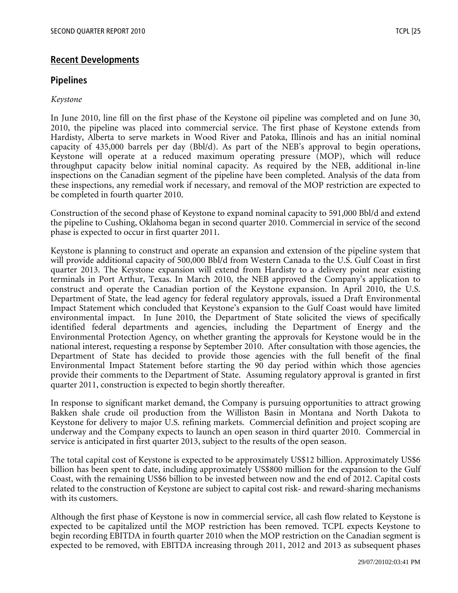# **Recent Developments**

## **Pipelines**

#### *Keystone*

In June 2010, line fill on the first phase of the Keystone oil pipeline was completed and on June 30, 2010, the pipeline was placed into commercial service. The first phase of Keystone extends from Hardisty, Alberta to serve markets in Wood River and Patoka, Illinois and has an initial nominal capacity of 435,000 barrels per day (Bbl/d). As part of the NEB's approval to begin operations, Keystone will operate at a reduced maximum operating pressure (MOP), which will reduce throughput capacity below initial nominal capacity. As required by the NEB, additional in-line inspections on the Canadian segment of the pipeline have been completed. Analysis of the data from these inspections, any remedial work if necessary, and removal of the MOP restriction are expected to be completed in fourth quarter 2010.

Construction of the second phase of Keystone to expand nominal capacity to 591,000 Bbl/d and extend the pipeline to Cushing, Oklahoma began in second quarter 2010. Commercial in service of the second phase is expected to occur in first quarter 2011.

Keystone is planning to construct and operate an expansion and extension of the pipeline system that will provide additional capacity of 500,000 Bbl/d from Western Canada to the U.S. Gulf Coast in first quarter 2013. The Keystone expansion will extend from Hardisty to a delivery point near existing terminals in Port Arthur, Texas. In March 2010, the NEB approved the Company's application to construct and operate the Canadian portion of the Keystone expansion. In April 2010, the U.S. Department of State, the lead agency for federal regulatory approvals, issued a Draft Environmental Impact Statement which concluded that Keystone's expansion to the Gulf Coast would have limited environmental impact. In June 2010, the Department of State solicited the views of specifically identified federal departments and agencies, including the Department of Energy and the Environmental Protection Agency, on whether granting the approvals for Keystone would be in the national interest, requesting a response by September 2010. After consultation with those agencies, the Department of State has decided to provide those agencies with the full benefit of the final Environmental Impact Statement before starting the 90 day period within which those agencies provide their comments to the Department of State. Assuming regulatory approval is granted in first quarter 2011, construction is expected to begin shortly thereafter.

In response to significant market demand, the Company is pursuing opportunities to attract growing Bakken shale crude oil production from the Williston Basin in Montana and North Dakota to Keystone for delivery to major U.S. refining markets. Commercial definition and project scoping are underway and the Company expects to launch an open season in third quarter 2010. Commercial in service is anticipated in first quarter 2013, subject to the results of the open season.

The total capital cost of Keystone is expected to be approximately US\$12 billion. Approximately US\$6 billion has been spent to date, including approximately US\$800 million for the expansion to the Gulf Coast, with the remaining US\$6 billion to be invested between now and the end of 2012. Capital costs related to the construction of Keystone are subject to capital cost risk- and reward-sharing mechanisms with its customers.

Although the first phase of Keystone is now in commercial service, all cash flow related to Keystone is expected to be capitalized until the MOP restriction has been removed. TCPL expects Keystone to begin recording EBITDA in fourth quarter 2010 when the MOP restriction on the Canadian segment is expected to be removed, with EBITDA increasing through 2011, 2012 and 2013 as subsequent phases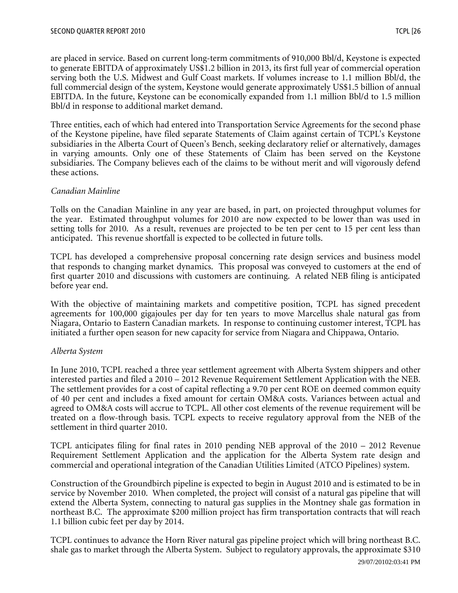are placed in service. Based on current long-term commitments of 910,000 Bbl/d, Keystone is expected to generate EBITDA of approximately US\$1.2 billion in 2013, its first full year of commercial operation serving both the U.S. Midwest and Gulf Coast markets. If volumes increase to 1.1 million Bbl/d, the full commercial design of the system, Keystone would generate approximately US\$1.5 billion of annual EBITDA. In the future, Keystone can be economically expanded from 1.1 million Bbl/d to 1.5 million Bbl/d in response to additional market demand.

Three entities, each of which had entered into Transportation Service Agreements for the second phase of the Keystone pipeline, have filed separate Statements of Claim against certain of TCPL's Keystone subsidiaries in the Alberta Court of Queen's Bench, seeking declaratory relief or alternatively, damages in varying amounts. Only one of these Statements of Claim has been served on the Keystone subsidiaries. The Company believes each of the claims to be without merit and will vigorously defend these actions.

# *Canadian Mainline*

Tolls on the Canadian Mainline in any year are based, in part, on projected throughput volumes for the year. Estimated throughput volumes for 2010 are now expected to be lower than was used in setting tolls for 2010. As a result, revenues are projected to be ten per cent to 15 per cent less than anticipated. This revenue shortfall is expected to be collected in future tolls.

TCPL has developed a comprehensive proposal concerning rate design services and business model that responds to changing market dynamics. This proposal was conveyed to customers at the end of first quarter 2010 and discussions with customers are continuing. A related NEB filing is anticipated before year end.

With the objective of maintaining markets and competitive position, TCPL has signed precedent agreements for 100,000 gigajoules per day for ten years to move Marcellus shale natural gas from Niagara, Ontario to Eastern Canadian markets. In response to continuing customer interest, TCPL has initiated a further open season for new capacity for service from Niagara and Chippawa, Ontario.

#### *Alberta System*

In June 2010, TCPL reached a three year settlement agreement with Alberta System shippers and other interested parties and filed a 2010 – 2012 Revenue Requirement Settlement Application with the NEB. The settlement provides for a cost of capital reflecting a 9.70 per cent ROE on deemed common equity of 40 per cent and includes a fixed amount for certain OM&A costs. Variances between actual and agreed to OM&A costs will accrue to TCPL. All other cost elements of the revenue requirement will be treated on a flow-through basis. TCPL expects to receive regulatory approval from the NEB of the settlement in third quarter 2010.

TCPL anticipates filing for final rates in 2010 pending NEB approval of the 2010 – 2012 Revenue Requirement Settlement Application and the application for the Alberta System rate design and commercial and operational integration of the Canadian Utilities Limited (ATCO Pipelines) system.

Construction of the Groundbirch pipeline is expected to begin in August 2010 and is estimated to be in service by November 2010. When completed, the project will consist of a natural gas pipeline that will extend the Alberta System, connecting to natural gas supplies in the Montney shale gas formation in northeast B.C. The approximate \$200 million project has firm transportation contracts that will reach 1.1 billion cubic feet per day by 2014.

TCPL continues to advance the Horn River natural gas pipeline project which will bring northeast B.C. shale gas to market through the Alberta System. Subject to regulatory approvals, the approximate \$310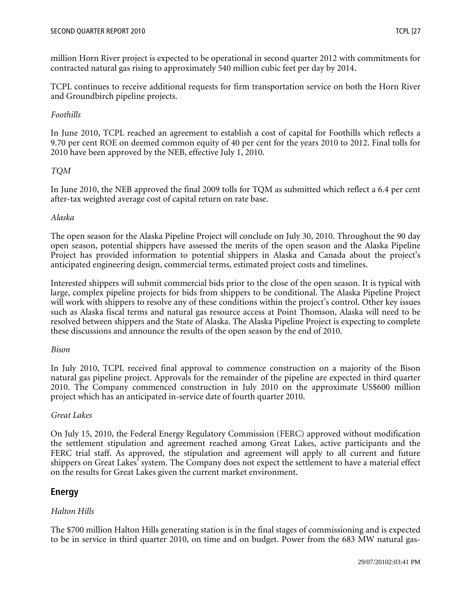million Horn River project is expected to be operational in second quarter 2012 with commitments for contracted natural gas rising to approximately 540 million cubic feet per day by 2014.

TCPL continues to receive additional requests for firm transportation service on both the Horn River and Groundbirch pipeline projects.

# *Foothills*

In June 2010, TCPL reached an agreement to establish a cost of capital for Foothills which reflects a 9.70 per cent ROE on deemed common equity of 40 per cent for the years 2010 to 2012. Final tolls for 2010 have been approved by the NEB, effective July 1, 2010.

# *TQM*

In June 2010, the NEB approved the final 2009 tolls for TQM as submitted which reflect a 6.4 per cent after-tax weighted average cost of capital return on rate base.

# *Alaska*

The open season for the Alaska Pipeline Project will conclude on July 30, 2010. Throughout the 90 day open season, potential shippers have assessed the merits of the open season and the Alaska Pipeline Project has provided information to potential shippers in Alaska and Canada about the project's anticipated engineering design, commercial terms, estimated project costs and timelines.

Interested shippers will submit commercial bids prior to the close of the open season. It is typical with large, complex pipeline projects for bids from shippers to be conditional. The Alaska Pipeline Project will work with shippers to resolve any of these conditions within the project's control. Other key issues such as Alaska fiscal terms and natural gas resource access at Point Thomson, Alaska will need to be resolved between shippers and the State of Alaska. The Alaska Pipeline Project is expecting to complete these discussions and announce the results of the open season by the end of 2010.

#### *Bison*

In July 2010, TCPL received final approval to commence construction on a majority of the Bison natural gas pipeline project. Approvals for the remainder of the pipeline are expected in third quarter 2010. The Company commenced construction in July 2010 on the approximate US\$600 million project which has an anticipated in-service date of fourth quarter 2010.

# *Great Lakes*

On July 15, 2010, the Federal Energy Regulatory Commission (FERC) approved without modification the settlement stipulation and agreement reached among Great Lakes, active participants and the FERC trial staff. As approved, the stipulation and agreement will apply to all current and future shippers on Great Lakes' system. The Company does not expect the settlement to have a material effect on the results for Great Lakes given the current market environment.

# **Energy**

# *Halton Hills*

The \$700 million Halton Hills generating station is in the final stages of commissioning and is expected to be in service in third quarter 2010, on time and on budget. Power from the 683 MW natural gas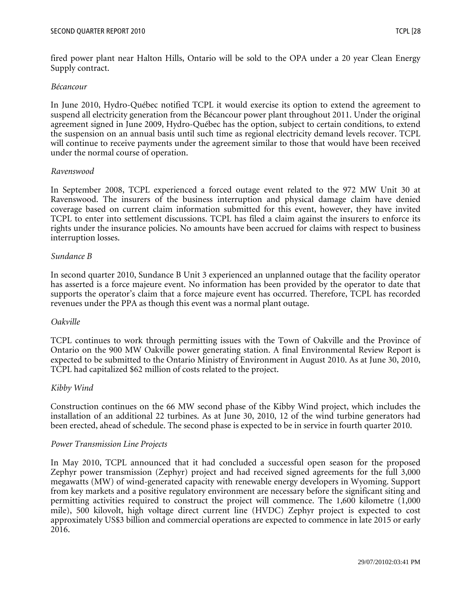fired power plant near Halton Hills, Ontario will be sold to the OPA under a 20 year Clean Energy Supply contract.

#### *Bécancour*

In June 2010, Hydro-Québec notified TCPL it would exercise its option to extend the agreement to suspend all electricity generation from the Bécancour power plant throughout 2011. Under the original agreement signed in June 2009, Hydro-Québec has the option, subject to certain conditions, to extend the suspension on an annual basis until such time as regional electricity demand levels recover. TCPL will continue to receive payments under the agreement similar to those that would have been received under the normal course of operation.

#### *Ravenswood*

In September 2008, TCPL experienced a forced outage event related to the 972 MW Unit 30 at Ravenswood. The insurers of the business interruption and physical damage claim have denied coverage based on current claim information submitted for this event, however, they have invited TCPL to enter into settlement discussions. TCPL has filed a claim against the insurers to enforce its rights under the insurance policies. No amounts have been accrued for claims with respect to business interruption losses.

#### *Sundance B*

In second quarter 2010, Sundance B Unit 3 experienced an unplanned outage that the facility operator has asserted is a force majeure event. No information has been provided by the operator to date that supports the operator's claim that a force majeure event has occurred. Therefore, TCPL has recorded revenues under the PPA as though this event was a normal plant outage.

#### *Oakville*

TCPL continues to work through permitting issues with the Town of Oakville and the Province of Ontario on the 900 MW Oakville power generating station. A final Environmental Review Report is expected to be submitted to the Ontario Ministry of Environment in August 2010. As at June 30, 2010, TCPL had capitalized \$62 million of costs related to the project.

#### *Kibby Wind*

Construction continues on the 66 MW second phase of the Kibby Wind project, which includes the installation of an additional 22 turbines. As at June 30, 2010, 12 of the wind turbine generators had been erected, ahead of schedule. The second phase is expected to be in service in fourth quarter 2010.

#### *Power Transmission Line Projects*

In May 2010, TCPL announced that it had concluded a successful open season for the proposed Zephyr power transmission (Zephyr) project and had received signed agreements for the full 3,000 megawatts (MW) of wind-generated capacity with renewable energy developers in Wyoming. Support from key markets and a positive regulatory environment are necessary before the significant siting and permitting activities required to construct the project will commence. The 1,600 kilometre (1,000 mile), 500 kilovolt, high voltage direct current line (HVDC) Zephyr project is expected to cost approximately US\$3 billion and commercial operations are expected to commence in late 2015 or early 2016.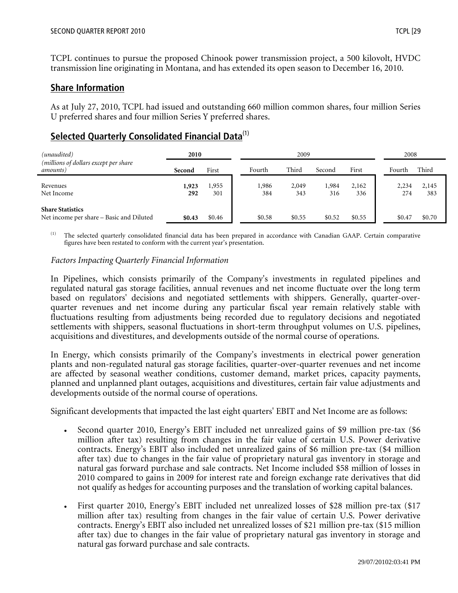TCPL continues to pursue the proposed Chinook power transmission project, a 500 kilovolt, HVDC transmission line originating in Montana, and has extended its open season to December 16, 2010.

## **Share Information**

As at July 27, 2010, TCPL had issued and outstanding 660 million common shares, four million Series U preferred shares and four million Series Y preferred shares.

# **Selected Quarterly Consolidated Financial Data**(1)

| (unaudited)                                                         | 2010         |              |              | 2009         |              |              |              | 2008         |
|---------------------------------------------------------------------|--------------|--------------|--------------|--------------|--------------|--------------|--------------|--------------|
| (millions of dollars except per share<br>amounts)                   | Second       | First        | Fourth       | Third        | Second       | First        | Fourth       | Third        |
| Revenues<br>Net Income                                              | 1,923<br>292 | 1,955<br>301 | 1,986<br>384 | 2,049<br>343 | 1,984<br>316 | 2,162<br>336 | 2,234<br>274 | 2,145<br>383 |
| <b>Share Statistics</b><br>Net income per share - Basic and Diluted | \$0.43       | \$0.46       | \$0.58       | \$0.55       | \$0.52       | \$0.55       | \$0.47       | \$0.70       |

(1) The selected quarterly consolidated financial data has been prepared in accordance with Canadian GAAP. Certain comparative figures have been restated to conform with the current year's presentation.

#### *Factors Impacting Quarterly Financial Information*

In Pipelines, which consists primarily of the Company's investments in regulated pipelines and regulated natural gas storage facilities, annual revenues and net income fluctuate over the long term based on regulators' decisions and negotiated settlements with shippers. Generally, quarter-overquarter revenues and net income during any particular fiscal year remain relatively stable with fluctuations resulting from adjustments being recorded due to regulatory decisions and negotiated settlements with shippers, seasonal fluctuations in short-term throughput volumes on U.S. pipelines, acquisitions and divestitures, and developments outside of the normal course of operations.

In Energy, which consists primarily of the Company's investments in electrical power generation plants and non-regulated natural gas storage facilities, quarter-over-quarter revenues and net income are affected by seasonal weather conditions, customer demand, market prices, capacity payments, planned and unplanned plant outages, acquisitions and divestitures, certain fair value adjustments and developments outside of the normal course of operations.

Significant developments that impacted the last eight quarters' EBIT and Net Income are as follows:

- Second quarter 2010, Energy's EBIT included net unrealized gains of \$9 million pre-tax (\$6 million after tax) resulting from changes in the fair value of certain U.S. Power derivative contracts. Energy's EBIT also included net unrealized gains of \$6 million pre-tax (\$4 million after tax) due to changes in the fair value of proprietary natural gas inventory in storage and natural gas forward purchase and sale contracts. Net Income included \$58 million of losses in 2010 compared to gains in 2009 for interest rate and foreign exchange rate derivatives that did not qualify as hedges for accounting purposes and the translation of working capital balances.
- First quarter 2010, Energy's EBIT included net unrealized losses of \$28 million pre-tax (\$17 million after tax) resulting from changes in the fair value of certain U.S. Power derivative contracts. Energy's EBIT also included net unrealized losses of \$21 million pre-tax (\$15 million after tax) due to changes in the fair value of proprietary natural gas inventory in storage and natural gas forward purchase and sale contracts.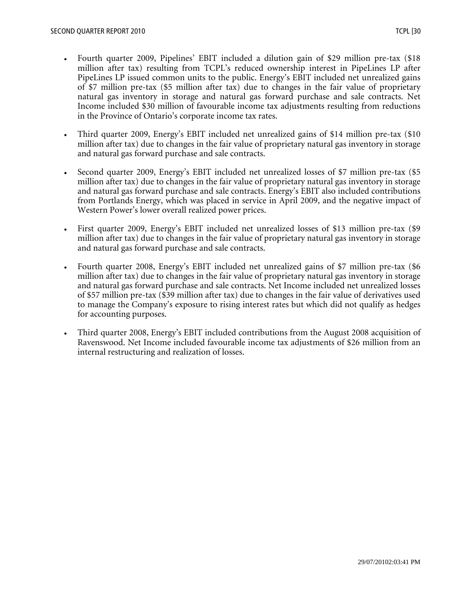- Fourth quarter 2009, Pipelines' EBIT included a dilution gain of \$29 million pre-tax (\$18 million after tax) resulting from TCPL's reduced ownership interest in PipeLines LP after PipeLines LP issued common units to the public. Energy's EBIT included net unrealized gains of \$7 million pre-tax (\$5 million after tax) due to changes in the fair value of proprietary natural gas inventory in storage and natural gas forward purchase and sale contracts. Net Income included \$30 million of favourable income tax adjustments resulting from reductions in the Province of Ontario's corporate income tax rates.
- Third quarter 2009, Energy's EBIT included net unrealized gains of \$14 million pre-tax (\$10) million after tax) due to changes in the fair value of proprietary natural gas inventory in storage and natural gas forward purchase and sale contracts.
- Second quarter 2009, Energy's EBIT included net unrealized losses of \$7 million pre-tax (\$5 million after tax) due to changes in the fair value of proprietary natural gas inventory in storage and natural gas forward purchase and sale contracts. Energy's EBIT also included contributions from Portlands Energy, which was placed in service in April 2009, and the negative impact of Western Power's lower overall realized power prices.
- First quarter 2009, Energy's EBIT included net unrealized losses of \$13 million pre-tax (\$9 million after tax) due to changes in the fair value of proprietary natural gas inventory in storage and natural gas forward purchase and sale contracts.
- Fourth quarter 2008, Energy's EBIT included net unrealized gains of \$7 million pre-tax (\$6 million after tax) due to changes in the fair value of proprietary natural gas inventory in storage and natural gas forward purchase and sale contracts. Net Income included net unrealized losses of \$57 million pre-tax (\$39 million after tax) due to changes in the fair value of derivatives used to manage the Company's exposure to rising interest rates but which did not qualify as hedges for accounting purposes.
- Third quarter 2008, Energy's EBIT included contributions from the August 2008 acquisition of Ravenswood. Net Income included favourable income tax adjustments of \$26 million from an internal restructuring and realization of losses.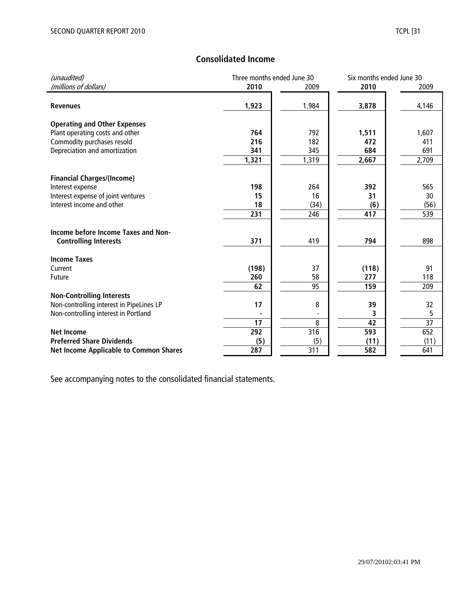# **Consolidated Income**

| (unaudited)                                   |       | Three months ended June 30 |       | Six months ended June 30 |
|-----------------------------------------------|-------|----------------------------|-------|--------------------------|
| (millions of dollars)                         | 2010  | 2009                       | 2010  | 2009                     |
|                                               |       |                            |       |                          |
| <b>Revenues</b>                               | 1,923 | 1,984                      | 3,878 | 4,146                    |
|                                               |       |                            |       |                          |
| <b>Operating and Other Expenses</b>           |       |                            |       |                          |
| Plant operating costs and other               | 764   | 792                        | 1,511 | 1,607                    |
| Commodity purchases resold                    | 216   | 182                        | 472   | 411                      |
| Depreciation and amortization                 | 341   | 345                        | 684   | 691                      |
|                                               | 1,321 | 1,319                      | 2,667 | 2,709                    |
| <b>Financial Charges/(Income)</b>             |       |                            |       |                          |
| Interest expense                              | 198   | 264                        | 392   | 565                      |
| Interest expense of joint ventures            | 15    | 16                         | 31    | 30                       |
| Interest income and other                     | 18    |                            |       | (56)                     |
|                                               |       | (34)                       | (6)   |                          |
|                                               | 231   | 246                        | 417   | 539                      |
| Income before Income Taxes and Non-           |       |                            |       |                          |
| <b>Controlling Interests</b>                  | 371   | 419                        | 794   | 898                      |
| <b>Income Taxes</b>                           |       |                            |       |                          |
| Current                                       | (198) | 37                         | (118) | 91                       |
| Future                                        | 260   | 58                         | 277   | 118                      |
|                                               | 62    | 95                         | 159   | 209                      |
| <b>Non-Controlling Interests</b>              |       |                            |       |                          |
| Non-controlling interest in PipeLines LP      | 17    | 8                          | 39    | 32                       |
| Non-controlling interest in Portland          |       |                            | 3     | 5                        |
|                                               | 17    |                            |       |                          |
|                                               |       | 8                          | 42    | 37                       |
| <b>Net Income</b>                             | 292   | 316                        | 593   | 652                      |
| <b>Preferred Share Dividends</b>              | (5)   | (5)                        | (11)  | (11)                     |
| <b>Net Income Applicable to Common Shares</b> | 287   | 311                        | 582   | 641                      |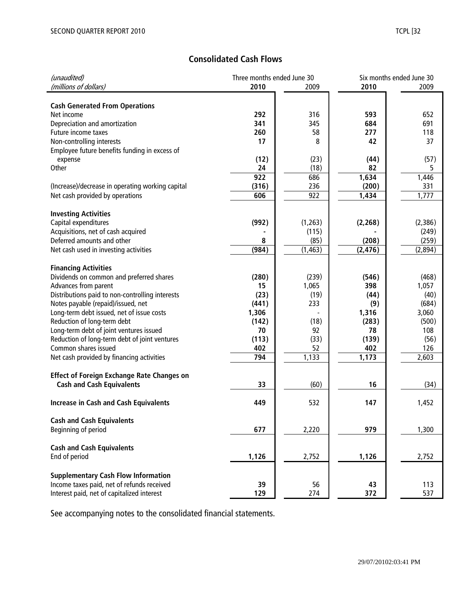# **Consolidated Cash Flows**

| (unaudited)                                                      | Three months ended June 30 |          |          | Six months ended June 30 |  |  |
|------------------------------------------------------------------|----------------------------|----------|----------|--------------------------|--|--|
| (millions of dollars)                                            | 2010                       | 2009     | 2010     | 2009                     |  |  |
|                                                                  |                            |          |          |                          |  |  |
| <b>Cash Generated From Operations</b>                            |                            |          |          |                          |  |  |
| Net income                                                       | 292                        | 316      | 593      | 652                      |  |  |
| Depreciation and amortization                                    | 341                        | 345      | 684      | 691                      |  |  |
| Future income taxes                                              | 260                        | 58       | 277      | 118                      |  |  |
| Non-controlling interests                                        | 17                         | 8        | 42       | 37                       |  |  |
| Employee future benefits funding in excess of                    |                            |          |          |                          |  |  |
| expense                                                          | (12)                       | (23)     | (44)     | (57)                     |  |  |
| Other                                                            | 24                         | (18)     | 82       | 5                        |  |  |
|                                                                  | 922                        | 686      | 1,634    | 1,446                    |  |  |
| (Increase)/decrease in operating working capital                 | (316)                      | 236      | (200)    | 331                      |  |  |
| Net cash provided by operations                                  | 606                        | 922      | 1,434    | 1,777                    |  |  |
|                                                                  |                            |          |          |                          |  |  |
| <b>Investing Activities</b>                                      |                            |          |          |                          |  |  |
| Capital expenditures                                             | (992)                      | (1,263)  | (2, 268) | (2,386)                  |  |  |
| Acquisitions, net of cash acquired                               |                            | (115)    |          | (249)                    |  |  |
| Deferred amounts and other                                       | 8                          | (85)     | (208)    | (259)                    |  |  |
| Net cash used in investing activities                            | (984)                      | (1, 463) | (2, 476) | (2,894)                  |  |  |
| <b>Financing Activities</b>                                      |                            |          |          |                          |  |  |
|                                                                  | (280)                      | (239)    | (546)    | (468)                    |  |  |
| Dividends on common and preferred shares<br>Advances from parent | 15                         | 1,065    | 398      | 1,057                    |  |  |
| Distributions paid to non-controlling interests                  | (23)                       | (19)     | (44)     | (40)                     |  |  |
| Notes payable (repaid)/issued, net                               | (441)                      | 233      | (9)      | (684)                    |  |  |
| Long-term debt issued, net of issue costs                        | 1,306                      |          | 1,316    | 3,060                    |  |  |
| Reduction of long-term debt                                      | (142)                      | (18)     | (283)    | (500)                    |  |  |
| Long-term debt of joint ventures issued                          | 70                         | 92       | 78       | 108                      |  |  |
| Reduction of long-term debt of joint ventures                    | (113)                      | (33)     | (139)    | (56)                     |  |  |
| Common shares issued                                             | 402                        | 52       | 402      | 126                      |  |  |
| Net cash provided by financing activities                        | 794                        | 1,133    | 1,173    | 2,603                    |  |  |
|                                                                  |                            |          |          |                          |  |  |
| <b>Effect of Foreign Exchange Rate Changes on</b>                |                            |          |          |                          |  |  |
| <b>Cash and Cash Equivalents</b>                                 | 33                         | (60)     | 16       | (34)                     |  |  |
|                                                                  |                            |          |          |                          |  |  |
| <b>Increase in Cash and Cash Equivalents</b>                     | 449                        | 532      | 147      | 1,452                    |  |  |
|                                                                  |                            |          |          |                          |  |  |
| <b>Cash and Cash Equivalents</b>                                 |                            |          |          |                          |  |  |
| Beginning of period                                              | 677                        | 2,220    | 979      | 1,300                    |  |  |
|                                                                  |                            |          |          |                          |  |  |
| <b>Cash and Cash Equivalents</b>                                 |                            |          |          |                          |  |  |
| End of period                                                    | 1,126                      | 2,752    | 1,126    | 2,752                    |  |  |
|                                                                  |                            |          |          |                          |  |  |
| <b>Supplementary Cash Flow Information</b>                       |                            |          |          |                          |  |  |
| Income taxes paid, net of refunds received                       | 39                         | 56       | 43       | 113                      |  |  |
| Interest paid, net of capitalized interest                       | 129                        | 274      | 372      | 537                      |  |  |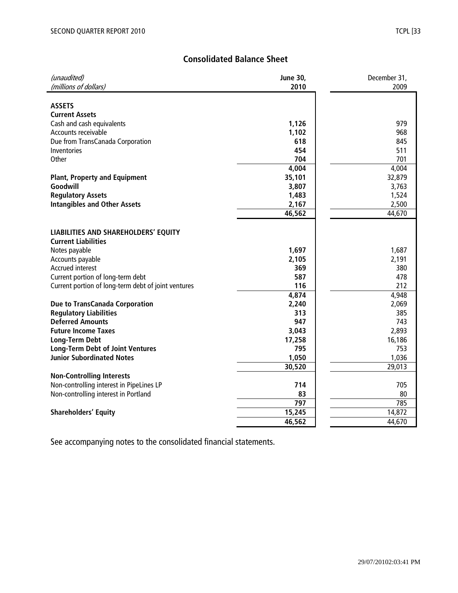# **Consolidated Balance Sheet**

| (unaudited)                                         | <b>June 30,</b> | December 31, |
|-----------------------------------------------------|-----------------|--------------|
| (millions of dollars)                               | 2010            | 2009         |
|                                                     |                 |              |
| <b>ASSETS</b>                                       |                 |              |
| <b>Current Assets</b>                               |                 |              |
| Cash and cash equivalents                           | 1,126           | 979          |
| Accounts receivable                                 | 1,102           | 968          |
| Due from TransCanada Corporation                    | 618             | 845          |
| Inventories                                         | 454             | 511          |
| Other                                               | 704             | 701          |
|                                                     | 4,004           | 4,004        |
| <b>Plant, Property and Equipment</b>                | 35,101          | 32,879       |
| Goodwill                                            | 3,807           | 3,763        |
| <b>Regulatory Assets</b>                            | 1,483           | 1,524        |
| <b>Intangibles and Other Assets</b>                 | 2,167           | 2,500        |
|                                                     | 46,562          | 44,670       |
|                                                     |                 |              |
| LIABILITIES AND SHAREHOLDERS' EQUITY                |                 |              |
| <b>Current Liabilities</b>                          |                 |              |
| Notes payable                                       | 1,697           | 1,687        |
| Accounts payable                                    | 2,105           | 2,191        |
| Accrued interest                                    | 369             | 380          |
| Current portion of long-term debt                   | 587             | 478          |
| Current portion of long-term debt of joint ventures | 116             | 212          |
|                                                     | 4,874           | 4,948        |
| Due to TransCanada Corporation                      | 2,240           | 2,069        |
| <b>Regulatory Liabilities</b>                       | 313             | 385          |
| <b>Deferred Amounts</b>                             | 947             | 743          |
| <b>Future Income Taxes</b>                          | 3,043           | 2,893        |
| <b>Long-Term Debt</b>                               | 17,258          | 16,186       |
| <b>Long-Term Debt of Joint Ventures</b>             | 795             | 753          |
| <b>Junior Subordinated Notes</b>                    | 1,050           | 1,036        |
|                                                     | 30,520          | 29,013       |
| <b>Non-Controlling Interests</b>                    |                 |              |
| Non-controlling interest in PipeLines LP            | 714             | 705          |
| Non-controlling interest in Portland                | 83              | 80           |
|                                                     | 797             | 785          |
| <b>Shareholders' Equity</b>                         | 15,245          | 14,872       |
|                                                     | 46,562          | 44,670       |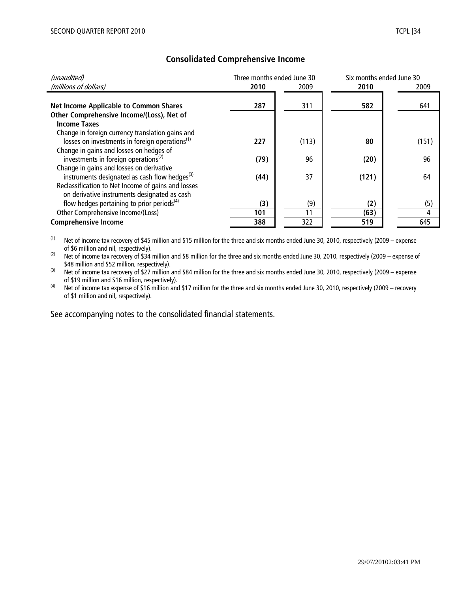| (unaudited)                                                | Three months ended June 30 |       | Six months ended June 30 |       |
|------------------------------------------------------------|----------------------------|-------|--------------------------|-------|
| (millions of dollars)                                      | 2010                       | 2009  | 2010                     | 2009  |
|                                                            |                            |       |                          |       |
| <b>Net Income Applicable to Common Shares</b>              | 287                        | 311   | 582                      | 641   |
| Other Comprehensive Income/(Loss), Net of                  |                            |       |                          |       |
| <b>Income Taxes</b>                                        |                            |       |                          |       |
| Change in foreign currency translation gains and           |                            |       |                          |       |
| losses on investments in foreign operations <sup>(1)</sup> | 227                        | (113) | 80                       | (151) |
| Change in gains and losses on hedges of                    |                            |       |                          |       |
| investments in foreign operations <sup>(2)</sup>           | (79)                       | 96    | (20)                     | 96    |
| Change in gains and losses on derivative                   |                            |       |                          |       |
| instruments designated as cash flow hedges <sup>(3)</sup>  | (44)                       | 37    | (121)                    | 64    |
| Reclassification to Net Income of gains and losses         |                            |       |                          |       |
| on derivative instruments designated as cash               |                            |       |                          |       |
| flow hedges pertaining to prior periods <sup>(4)</sup>     | (3)                        | (9)   | (2)                      | (5)   |
| Other Comprehensive Income/(Loss)                          | 101                        | 11    | (63)                     | 4     |
| <b>Comprehensive Income</b>                                | 388                        | 322   | 519                      | 645   |

# **Consolidated Comprehensive Income**

(1) Net of income tax recovery of \$45 million and \$15 million for the three and six months ended June 30, 2010, respectively (2009 – expense of \$6 million and nil, respectively).

(2) Net of income tax recovery of \$34 million and \$8 million for the three and six months ended June 30, 2010, respectively (2009 – expense of \$48 million and \$52 million, respectively).

 $^{(3)}$  Net of income tax recovery of \$27 million and \$84 million for the three and six months ended June 30, 2010, respectively (2009 – expense of \$19 million and \$16 million, respectively).

<sup>(4)</sup> Net of income tax expense of \$16 million and \$17 million for the three and six months ended June 30, 2010, respectively (2009 – recovery of \$1 million and nil, respectively).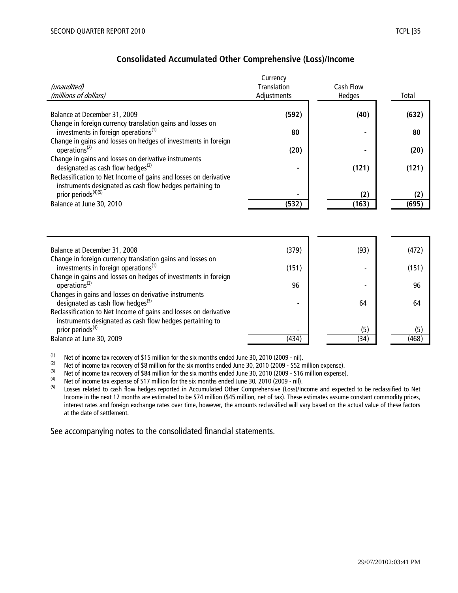|                                                                                                                              | Currency           |                  |       |
|------------------------------------------------------------------------------------------------------------------------------|--------------------|------------------|-------|
| (unaudited)                                                                                                                  | <b>Translation</b> | <b>Cash Flow</b> |       |
| (millions of dollars)                                                                                                        | Adjustments        | Hedges           | Total |
|                                                                                                                              |                    |                  |       |
| Balance at December 31, 2009                                                                                                 | (592)              | (40)             | (632) |
| Change in foreign currency translation gains and losses on<br>investments in foreign operations <sup>(1)</sup>               | 80                 |                  | 80    |
| Change in gains and losses on hedges of investments in foreign<br>operations <sup>(2)</sup>                                  | (20)               |                  | (20)  |
| Change in gains and losses on derivative instruments<br>designated as cash flow hedges $^{(3)}$                              |                    | (121)            | (121) |
| Reclassification to Net Income of gains and losses on derivative<br>instruments designated as cash flow hedges pertaining to |                    |                  |       |
| prior periods <sup>(4)(5)</sup>                                                                                              |                    | (2)              | (2)   |
| Balance at June 30, 2010                                                                                                     | (532)              | (163)            | (695) |
|                                                                                                                              |                    |                  |       |
| Balance at December 31, 2008                                                                                                 | (379)              | (93)             | (472) |
| Change in foreign currency translation gains and losses on<br>investments in foreign operations <sup>(1)</sup>               | (151)              |                  | (151) |
| Change in gains and losses on hedges of investments in foreign<br>operations <sup>(2)</sup>                                  | 96                 |                  | 96    |
| Changes in gains and losses on derivative instruments<br>designated as cash flow hedges <sup>(3)</sup>                       |                    | 64               | 64    |
| Reclassification to Net Income of gains and losses on derivative<br>instruments designated as cash flow hedges pertaining to |                    |                  |       |
| prior periods <sup>(4)</sup>                                                                                                 |                    | (5)              | (5)   |
| Balance at June 30, 2009                                                                                                     | (434)              | (34)             | (468) |

(1) Net of income tax recovery of \$15 million for the six months ended June 30, 2010 (2009 - nil).<br>(2) Net of income tax recovery of \$8 million for the six months ended June 30, 2010 (2009 - \$52 n

(2) Net of income tax recovery of \$8 million for the six months ended June 30, 2010 (2009 - \$52 million expense).<br>(3) Net of income tax recovery of \$84 million for the six months ended June 30, 2010 (2009 - \$16 million ex

(3) Net of income tax recovery of \$84 million for the six months ended June 30, 2010 (2009 - \$16 million expense).<br>(4) Net of income tax expense of \$17 million for the six months ended June 30, 2010 (2009 - nil)

(4) Net of income tax expense of \$17 million for the six months ended June 30, 2010 (2009 - nil).<br>(5) Losses related to cash flow bedges reported in Accumulated Other Comprehensive (Loss)/In

Losses related to cash flow hedges reported in Accumulated Other Comprehensive (Loss)/Income and expected to be reclassified to Net Income in the next 12 months are estimated to be \$74 million (\$45 million, net of tax). These estimates assume constant commodity prices, interest rates and foreign exchange rates over time, however, the amounts reclassified will vary based on the actual value of these factors at the date of settlement.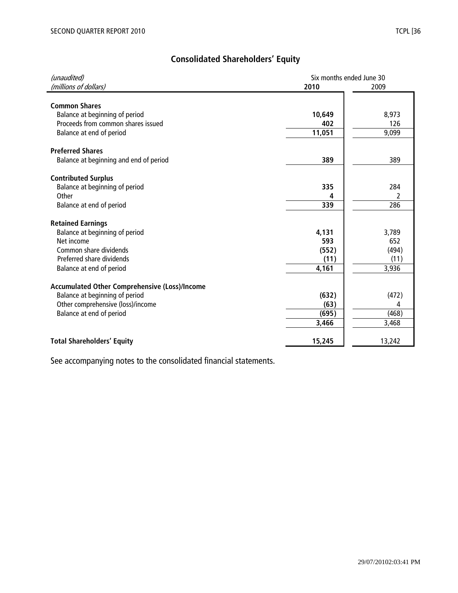# **Consolidated Shareholders' Equity**

| (unaudited)                                   | Six months ended June 30 |          |  |  |
|-----------------------------------------------|--------------------------|----------|--|--|
| (millions of dollars)                         | 2010                     | 2009     |  |  |
|                                               |                          |          |  |  |
| <b>Common Shares</b>                          |                          |          |  |  |
| Balance at beginning of period                | 10,649                   | 8,973    |  |  |
| Proceeds from common shares issued            | 402                      | 126      |  |  |
| Balance at end of period                      | 11,051                   | 9,099    |  |  |
| <b>Preferred Shares</b>                       |                          |          |  |  |
| Balance at beginning and end of period        | 389                      | 389      |  |  |
|                                               |                          |          |  |  |
| <b>Contributed Surplus</b>                    |                          |          |  |  |
| Balance at beginning of period<br>Other       | 335<br>Δ                 | 284      |  |  |
|                                               | 339                      | 2<br>286 |  |  |
| Balance at end of period                      |                          |          |  |  |
| <b>Retained Earnings</b>                      |                          |          |  |  |
| Balance at beginning of period                | 4,131                    | 3,789    |  |  |
| Net income                                    | 593                      | 652      |  |  |
| Common share dividends                        | (552)                    | (494)    |  |  |
| Preferred share dividends                     | (11)                     | (11)     |  |  |
| Balance at end of period                      | 4,161                    | 3,936    |  |  |
| Accumulated Other Comprehensive (Loss)/Income |                          |          |  |  |
| Balance at beginning of period                | (632)                    | (472)    |  |  |
| Other comprehensive (loss)/income             | (63)                     | 4        |  |  |
| Balance at end of period                      | (695)                    | (468)    |  |  |
|                                               | 3,466                    | 3,468    |  |  |
|                                               |                          |          |  |  |
| <b>Total Shareholders' Equity</b>             | 15,245                   | 13,242   |  |  |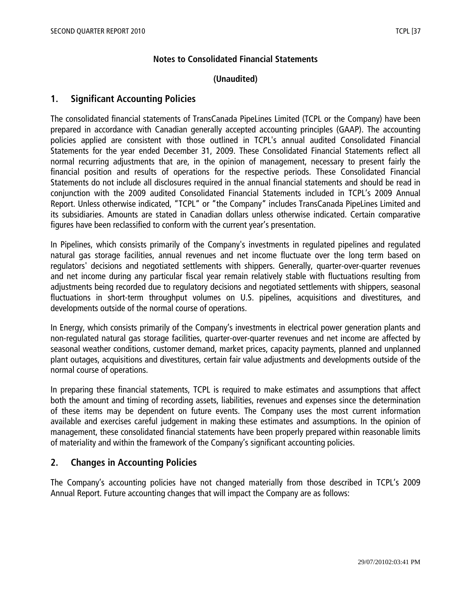# **Notes to Consolidated Financial Statements**

## **(Unaudited)**

## **1. Significant Accounting Policies**

The consolidated financial statements of TransCanada PipeLines Limited (TCPL or the Company) have been prepared in accordance with Canadian generally accepted accounting principles (GAAP). The accounting policies applied are consistent with those outlined in TCPL's annual audited Consolidated Financial Statements for the year ended December 31, 2009. These Consolidated Financial Statements reflect all normal recurring adjustments that are, in the opinion of management, necessary to present fairly the financial position and results of operations for the respective periods. These Consolidated Financial Statements do not include all disclosures required in the annual financial statements and should be read in conjunction with the 2009 audited Consolidated Financial Statements included in TCPL's 2009 Annual Report. Unless otherwise indicated, "TCPL" or "the Company" includes TransCanada PipeLines Limited and its subsidiaries. Amounts are stated in Canadian dollars unless otherwise indicated. Certain comparative figures have been reclassified to conform with the current year's presentation.

In Pipelines, which consists primarily of the Company's investments in regulated pipelines and regulated natural gas storage facilities, annual revenues and net income fluctuate over the long term based on regulators' decisions and negotiated settlements with shippers. Generally, quarter-over-quarter revenues and net income during any particular fiscal year remain relatively stable with fluctuations resulting from adjustments being recorded due to regulatory decisions and negotiated settlements with shippers, seasonal fluctuations in short-term throughput volumes on U.S. pipelines, acquisitions and divestitures, and developments outside of the normal course of operations.

In Energy, which consists primarily of the Company's investments in electrical power generation plants and non-regulated natural gas storage facilities, quarter-over-quarter revenues and net income are affected by seasonal weather conditions, customer demand, market prices, capacity payments, planned and unplanned plant outages, acquisitions and divestitures, certain fair value adjustments and developments outside of the normal course of operations.

In preparing these financial statements, TCPL is required to make estimates and assumptions that affect both the amount and timing of recording assets, liabilities, revenues and expenses since the determination of these items may be dependent on future events. The Company uses the most current information available and exercises careful judgement in making these estimates and assumptions. In the opinion of management, these consolidated financial statements have been properly prepared within reasonable limits of materiality and within the framework of the Company's significant accounting policies.

# **2. Changes in Accounting Policies**

The Company's accounting policies have not changed materially from those described in TCPL's 2009 Annual Report. Future accounting changes that will impact the Company are as follows: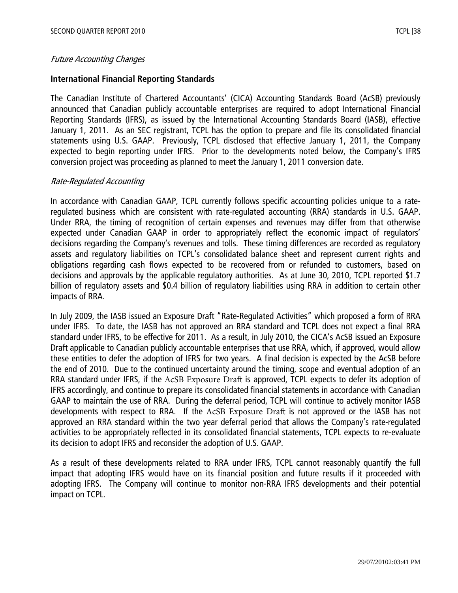#### Future Accounting Changes

## **International Financial Reporting Standards**

The Canadian Institute of Chartered Accountants' (CICA) Accounting Standards Board (AcSB) previously announced that Canadian publicly accountable enterprises are required to adopt International Financial Reporting Standards (IFRS), as issued by the International Accounting Standards Board (IASB), effective January 1, 2011. As an SEC registrant, TCPL has the option to prepare and file its consolidated financial statements using U.S. GAAP. Previously, TCPL disclosed that effective January 1, 2011, the Company expected to begin reporting under IFRS. Prior to the developments noted below, the Company's IFRS conversion project was proceeding as planned to meet the January 1, 2011 conversion date.

## Rate-Regulated Accounting

In accordance with Canadian GAAP, TCPL currently follows specific accounting policies unique to a rateregulated business which are consistent with rate-regulated accounting (RRA) standards in U.S. GAAP. Under RRA, the timing of recognition of certain expenses and revenues may differ from that otherwise expected under Canadian GAAP in order to appropriately reflect the economic impact of regulators' decisions regarding the Company's revenues and tolls. These timing differences are recorded as regulatory assets and regulatory liabilities on TCPL's consolidated balance sheet and represent current rights and obligations regarding cash flows expected to be recovered from or refunded to customers, based on decisions and approvals by the applicable regulatory authorities. As at June 30, 2010, TCPL reported \$1.7 billion of regulatory assets and \$0.4 billion of regulatory liabilities using RRA in addition to certain other impacts of RRA.

In July 2009, the IASB issued an Exposure Draft "Rate-Regulated Activities" which proposed a form of RRA under IFRS. To date, the IASB has not approved an RRA standard and TCPL does not expect a final RRA standard under IFRS, to be effective for 2011. As a result, in July 2010, the CICA's AcSB issued an Exposure Draft applicable to Canadian publicly accountable enterprises that use RRA, which, if approved, would allow these entities to defer the adoption of IFRS for two years. A final decision is expected by the AcSB before the end of 2010. Due to the continued uncertainty around the timing, scope and eventual adoption of an RRA standard under IFRS, if the AcSB Exposure Draft is approved, TCPL expects to defer its adoption of IFRS accordingly, and continue to prepare its consolidated financial statements in accordance with Canadian GAAP to maintain the use of RRA. During the deferral period, TCPL will continue to actively monitor IASB developments with respect to RRA. If the AcSB Exposure Draft is not approved or the IASB has not approved an RRA standard within the two year deferral period that allows the Company's rate-regulated activities to be appropriately reflected in its consolidated financial statements, TCPL expects to re-evaluate its decision to adopt IFRS and reconsider the adoption of U.S. GAAP.

As a result of these developments related to RRA under IFRS, TCPL cannot reasonably quantify the full impact that adopting IFRS would have on its financial position and future results if it proceeded with adopting IFRS. The Company will continue to monitor non-RRA IFRS developments and their potential impact on TCPL.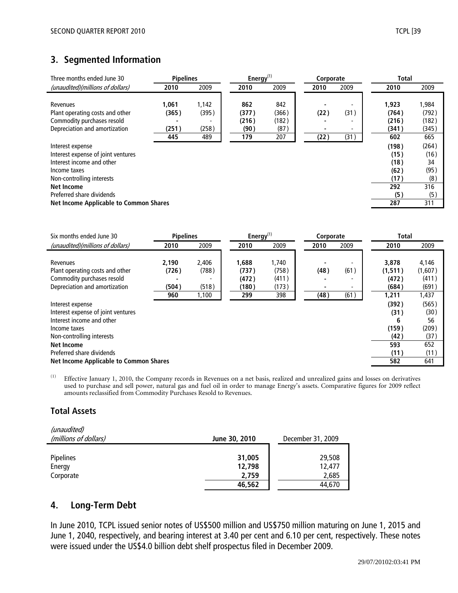# **3. Segmented Information**

| Three months ended June 30             | <b>Pipelines</b>         |       | Energy $(1)$ |       | Corporate |      | <b>Total</b> |       |
|----------------------------------------|--------------------------|-------|--------------|-------|-----------|------|--------------|-------|
| (unaudited)(millions of dollars)       | 2010                     | 2009  | 2010         | 2009  | 2010      | 2009 | 2010         | 2009  |
|                                        |                          |       |              |       |           |      |              |       |
| Revenues                               | 1,061                    | 1,142 | 862          | 842   |           |      | 1,923        | 1,984 |
| Plant operating costs and other        | (365)                    | (395) | (377)        | (366) | (22)      | (31) | (764)        | (792) |
| Commodity purchases resold             | $\overline{\phantom{0}}$ |       | (216)        | (182) |           |      | (216)        | (182) |
| Depreciation and amortization          | (251)                    | (258) | (90)         | (87)  |           | -    | (341)        | (345) |
|                                        | 445                      | 489   | 179          | 207   | (22)      | (31) | 602          | 665   |
| Interest expense                       |                          |       |              |       |           |      | (198)        | (264) |
| Interest expense of joint ventures     |                          |       |              |       |           |      | (15)         | (16)  |
| Interest income and other              |                          |       |              |       |           |      | (18)         | 34    |
| Income taxes                           |                          |       |              |       |           |      | (62)         | (95)  |
| Non-controlling interests              |                          |       |              |       |           |      | (17)         | (8)   |
| <b>Net Income</b>                      |                          |       |              |       |           |      | 292          | 316   |
| Preferred share dividends              |                          |       |              |       |           |      | (5)          | (5)   |
| Net Income Applicable to Common Shares |                          |       |              |       |           |      | 287          | 311   |

| Six months ended June 30                                                                                                                                                                                                            | <b>Pipelines</b>               |                                  | Energy $^{(1)}$                         |                                         | Corporate    |                   | <b>Total</b>                                              |                                                            |
|-------------------------------------------------------------------------------------------------------------------------------------------------------------------------------------------------------------------------------------|--------------------------------|----------------------------------|-----------------------------------------|-----------------------------------------|--------------|-------------------|-----------------------------------------------------------|------------------------------------------------------------|
| (unaudited)(millions of dollars)                                                                                                                                                                                                    | 2010                           | 2009                             | 2010                                    | 2009                                    | 2010         | 2009              | 2010                                                      | 2009                                                       |
| Revenues<br>Plant operating costs and other<br>Commodity purchases resold<br>Depreciation and amortization                                                                                                                          | 2,190<br>(726)<br>(504)<br>960 | 2.406<br>(788)<br>(518)<br>1,100 | 1,688<br>(737)<br>(472)<br>(180)<br>299 | 1.740<br>(758)<br>(411)<br>(173)<br>398 | (48)<br>(48) | (61)<br>-<br>(61) | 3,878<br>(1, 511)<br>(472)<br>(684)<br>1,211              | 4,146<br>(1,607)<br>(411)<br>(691)<br>1,437                |
| Interest expense<br>Interest expense of joint ventures<br>Interest income and other<br>Income taxes<br>Non-controlling interests<br><b>Net Income</b><br>Preferred share dividends<br><b>Net Income Applicable to Common Shares</b> |                                |                                  |                                         |                                         |              |                   | (392)<br>(31)<br>6<br>(159)<br>(42)<br>593<br>(11)<br>582 | (565)<br>(30)<br>56<br>(209)<br>(37)<br>652<br>(11)<br>641 |

(1) Effective January 1, 2010, the Company records in Revenues on a net basis, realized and unrealized gains and losses on derivatives used to purchase and sell power, natural gas and fuel oil in order to manage Energy's assets. Comparative figures for 2009 reflect amounts reclassified from Commodity Purchases Resold to Revenues.

# **Total Assets**

| (unaudited)<br>(millions of dollars) | June 30, 2010   | December 31, 2009 |
|--------------------------------------|-----------------|-------------------|
| <b>Pipelines</b>                     | 31,005          | 29,508            |
| Energy<br>Corporate                  | 12,798<br>2,759 | 12,477<br>2,685   |
|                                      | 46,562          | 44,670            |

# **4. Long-Term Debt**

In June 2010, TCPL issued senior notes of US\$500 million and US\$750 million maturing on June 1, 2015 and June 1, 2040, respectively, and bearing interest at 3.40 per cent and 6.10 per cent, respectively. These notes were issued under the US\$4.0 billion debt shelf prospectus filed in December 2009.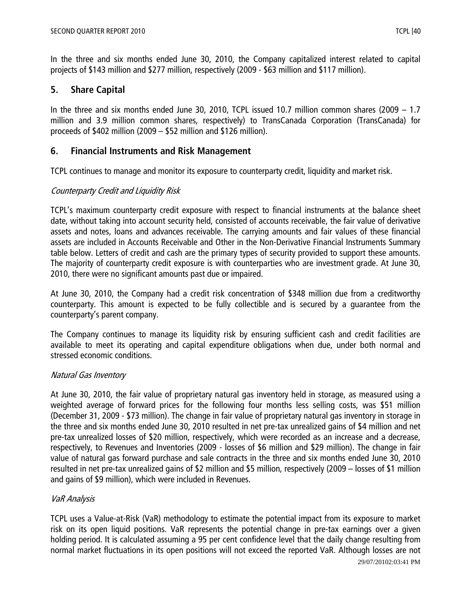In the three and six months ended June 30, 2010, the Company capitalized interest related to capital projects of \$143 million and \$277 million, respectively (2009 - \$63 million and \$117 million).

# **5. Share Capital**

In the three and six months ended June 30, 2010, TCPL issued 10.7 million common shares (2009 – 1.7 million and 3.9 million common shares, respectively) to TransCanada Corporation (TransCanada) for proceeds of \$402 million (2009 – \$52 million and \$126 million).

# **6. Financial Instruments and Risk Management**

TCPL continues to manage and monitor its exposure to counterparty credit, liquidity and market risk.

## Counterparty Credit and Liquidity Risk

TCPL's maximum counterparty credit exposure with respect to financial instruments at the balance sheet date, without taking into account security held, consisted of accounts receivable, the fair value of derivative assets and notes, loans and advances receivable. The carrying amounts and fair values of these financial assets are included in Accounts Receivable and Other in the Non-Derivative Financial Instruments Summary table below. Letters of credit and cash are the primary types of security provided to support these amounts. The majority of counterparty credit exposure is with counterparties who are investment grade. At June 30, 2010, there were no significant amounts past due or impaired.

At June 30, 2010, the Company had a credit risk concentration of \$348 million due from a creditworthy counterparty. This amount is expected to be fully collectible and is secured by a guarantee from the counterparty's parent company.

The Company continues to manage its liquidity risk by ensuring sufficient cash and credit facilities are available to meet its operating and capital expenditure obligations when due, under both normal and stressed economic conditions.

# Natural Gas Inventory

At June 30, 2010, the fair value of proprietary natural gas inventory held in storage, as measured using a weighted average of forward prices for the following four months less selling costs, was \$51 million (December 31, 2009 - \$73 million). The change in fair value of proprietary natural gas inventory in storage in the three and six months ended June 30, 2010 resulted in net pre-tax unrealized gains of \$4 million and net pre-tax unrealized losses of \$20 million, respectively, which were recorded as an increase and a decrease, respectively, to Revenues and Inventories (2009 - losses of \$6 million and \$29 million). The change in fair value of natural gas forward purchase and sale contracts in the three and six months ended June 30, 2010 resulted in net pre-tax unrealized gains of \$2 million and \$5 million, respectively (2009 – losses of \$1 million and gains of \$9 million), which were included in Revenues.

# VaR Analysis

TCPL uses a Value-at-Risk (VaR) methodology to estimate the potential impact from its exposure to market risk on its open liquid positions. VaR represents the potential change in pre-tax earnings over a given holding period. It is calculated assuming a 95 per cent confidence level that the daily change resulting from normal market fluctuations in its open positions will not exceed the reported VaR. Although losses are not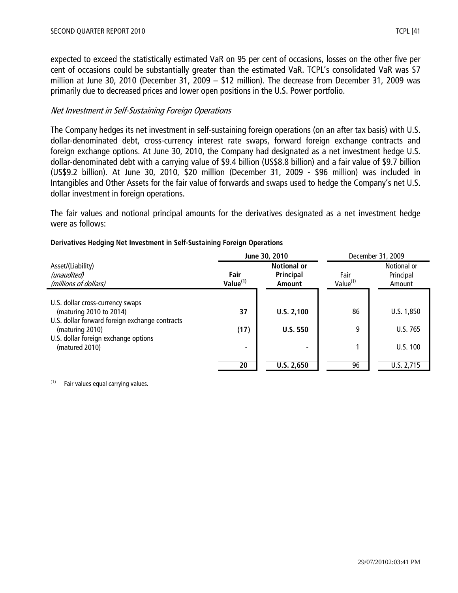expected to exceed the statistically estimated VaR on 95 per cent of occasions, losses on the other five per cent of occasions could be substantially greater than the estimated VaR. TCPL's consolidated VaR was \$7 million at June 30, 2010 (December 31, 2009 – \$12 million). The decrease from December 31, 2009 was primarily due to decreased prices and lower open positions in the U.S. Power portfolio.

## Net Investment in Self-Sustaining Foreign Operations

The Company hedges its net investment in self-sustaining foreign operations (on an after tax basis) with U.S. dollar-denominated debt, cross-currency interest rate swaps, forward foreign exchange contracts and foreign exchange options. At June 30, 2010, the Company had designated as a net investment hedge U.S. dollar-denominated debt with a carrying value of \$9.4 billion (US\$8.8 billion) and a fair value of \$9.7 billion (US\$9.2 billion). At June 30, 2010, \$20 million (December 31, 2009 - \$96 million) was included in Intangibles and Other Assets for the fair value of forwards and swaps used to hedge the Company's net U.S. dollar investment in foreign operations.

The fair values and notional principal amounts for the derivatives designated as a net investment hedge were as follows:

|                                                                           | June 30, 2010                |                                                  | December 31, 2009            |                                    |
|---------------------------------------------------------------------------|------------------------------|--------------------------------------------------|------------------------------|------------------------------------|
| Asset/(Liability)<br>(unaudited)<br>(millions of dollars)                 | Fair<br>Value <sup>(1)</sup> | <b>Notional or</b><br><b>Principal</b><br>Amount | Fair<br>Value <sup>(1)</sup> | Notional or<br>Principal<br>Amount |
| U.S. dollar cross-currency swaps                                          |                              |                                                  |                              |                                    |
| (maturing 2010 to 2014)<br>U.S. dollar forward foreign exchange contracts | 37                           | U.S. 2,100                                       | 86                           | U.S. 1,850                         |
| (maturing 2010)<br>U.S. dollar foreign exchange options                   | (17)                         | <b>U.S. 550</b>                                  | 9                            | U.S. 765                           |
| (matured 2010)                                                            | $\blacksquare$               |                                                  |                              | U.S. 100                           |
|                                                                           | 20                           | U.S. 2,650                                       | 96                           | U.S. 2,715                         |

#### **Derivatives Hedging Net Investment in Self-Sustaining Foreign Operations**

 $(1)$  Fair values equal carrying values.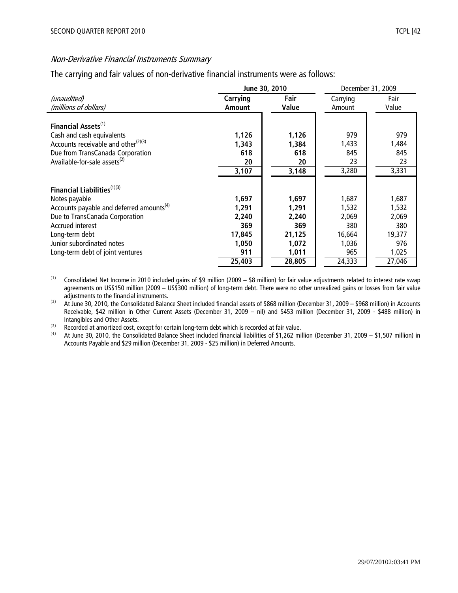# Non-Derivative Financial Instruments Summary

The carrying and fair values of non-derivative financial instruments were as follows:

|                                                      |               | June 30, 2010 | December 31, 2009 |        |
|------------------------------------------------------|---------------|---------------|-------------------|--------|
| (unaudited)                                          | Carrying      | Fair          | Carrying          | Fair   |
| (millions of dollars)                                | <b>Amount</b> | Value         | Amount            | Value  |
|                                                      |               |               |                   |        |
| Financial Assets <sup>(1)</sup>                      |               |               |                   |        |
| Cash and cash equivalents                            | 1,126         | 1,126         | 979               | 979    |
| Accounts receivable and other $(2)(3)$               | 1,343         | 1,384         | 1,433             | 1,484  |
| Due from TransCanada Corporation                     | 618           | 618           | 845               | 845    |
| Available-for-sale assets <sup>(2)</sup>             | 20            | 20            | 23                | 23     |
|                                                      | 3,107         | 3,148         | 3,280             | 3,331  |
|                                                      |               |               |                   |        |
| Financial Liabilities <sup>(1)(3)</sup>              |               |               |                   |        |
| Notes payable                                        | 1,697         | 1,697         | 1,687             | 1,687  |
| Accounts payable and deferred amounts <sup>(4)</sup> | 1,291         | 1,291         | 1,532             | 1,532  |
| Due to TransCanada Corporation                       | 2,240         | 2,240         | 2,069             | 2,069  |
| <b>Accrued interest</b>                              | 369           | 369           | 380               | 380    |
| Long-term debt                                       | 17,845        | 21,125        | 16,664            | 19,377 |
| Junior subordinated notes                            | 1,050         | 1,072         | 1,036             | 976    |
| Long-term debt of joint ventures                     | 911           | 1,011         | 965               | 1,025  |
|                                                      | 25,403        | 28,805        | 24,333            | 27,046 |

 $(1)$  Consolidated Net Income in 2010 included gains of \$9 million (2009 – \$8 million) for fair value adjustments related to interest rate swap agreements on US\$150 million (2009 – US\$300 million) of long-term debt. There were no other unrealized gains or losses from fair value adjustments to the financial instruments.

 $(2)$  At June 30, 2010, the Consolidated Balance Sheet included financial assets of \$868 million (December 31, 2009 – \$968 million) in Accounts Receivable, \$42 million in Other Current Assets (December 31, 2009 – nil) and \$453 million (December 31, 2009 - \$488 million) in Intangibles and Other Assets.

(3) Recorded at amortized cost, except for certain long-term debt which is recorded at fair value.<br>
(4) At June 30, 2010, the Consolidated Balance Sheet included financial liabilities of \$1,262 mil

(4) At June 30, 2010, the Consolidated Balance Sheet included financial liabilities of \$1,262 million (December 31, 2009 – \$1,507 million) in Accounts Payable and \$29 million (December 31, 2009 - \$25 million) in Deferred Amounts.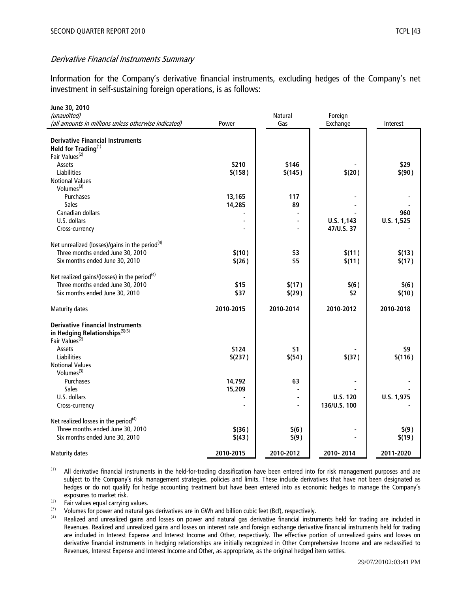Information for the Company's derivative financial instruments, excluding hedges of the Company's net investment in self-sustaining foreign operations, is as follows:

| June 30, 2010                                                                                                                    |                  |                  |                  |                  |
|----------------------------------------------------------------------------------------------------------------------------------|------------------|------------------|------------------|------------------|
| (unaudited)                                                                                                                      |                  | <b>Natural</b>   | Foreign          |                  |
| (all amounts in millions unless otherwise indicated)                                                                             | Power            | Gas              | Exchange         | Interest         |
| <b>Derivative Financial Instruments</b><br>Held for Trading(1)                                                                   |                  |                  |                  |                  |
| Fair Values <sup>(2)</sup>                                                                                                       |                  |                  |                  |                  |
| Assets                                                                                                                           | \$210            | \$146            |                  | \$29             |
| Liabilities<br><b>Notional Values</b>                                                                                            | \$(158)          | \$(145)          | \$(20)           | \$(90)           |
| Volumes <sup>(3)</sup>                                                                                                           |                  |                  |                  |                  |
| Purchases                                                                                                                        | 13,165           | 117              |                  |                  |
| <b>Sales</b>                                                                                                                     | 14,285           | 89               |                  |                  |
| Canadian dollars                                                                                                                 |                  |                  |                  | 960              |
| U.S. dollars                                                                                                                     |                  | $\blacksquare$   | U.S. 1,143       | U.S. 1,525       |
| Cross-currency                                                                                                                   |                  |                  | 47/U.S. 37       |                  |
| Net unrealized (losses)/gains in the period <sup>(4)</sup><br>Three months ended June 30, 2010<br>Six months ended June 30, 2010 | \$(10)<br>\$(26) | \$3<br>\$5       | \$(11)<br>\$(11) | \$(13)<br>\$(17) |
| Net realized gains/(losses) in the period <sup>(4)</sup><br>Three months ended June 30, 2010<br>Six months ended June 30, 2010   | \$15<br>\$37     | \$(17)<br>\$(29) | \$(6)<br>\$2     | \$(6)<br>\$(10)  |
| Maturity dates                                                                                                                   | 2010-2015        | 2010-2014        | 2010-2012        | 2010-2018        |
| <b>Derivative Financial Instruments</b><br>in Hedging Relationships <sup>(5)(6)</sup><br>Fair Values <sup>(2)</sup>              |                  |                  |                  |                  |
| Assets                                                                                                                           | \$124            | \$1              |                  | \$9              |
| Liabilities                                                                                                                      | \$(237)          | \$(54)           | \$(37)           | \$(116)          |
| <b>Notional Values</b>                                                                                                           |                  |                  |                  |                  |
| Volumes <sup>(3)</sup>                                                                                                           |                  |                  |                  |                  |
| <b>Purchases</b>                                                                                                                 | 14,792           | 63               |                  |                  |
| <b>Sales</b><br>U.S. dollars                                                                                                     | 15,209           |                  | <b>U.S. 120</b>  | U.S. 1,975       |
| Cross-currency                                                                                                                   |                  | ÷,               | 136/U.S. 100     |                  |
|                                                                                                                                  |                  |                  |                  |                  |
| Net realized losses in the period <sup>(4)</sup>                                                                                 |                  |                  |                  |                  |
| Three months ended June 30, 2010                                                                                                 | \$(36)           | \$(6)            |                  | \$(9)            |
| Six months ended June 30, 2010                                                                                                   | \$(43)           | \$(9)            |                  | \$(19)           |
| <b>Maturity dates</b>                                                                                                            | 2010-2015        | 2010-2012        | 2010-2014        | 2011-2020        |

(1) All derivative financial instruments in the held-for-trading classification have been entered into for risk management purposes and are subject to the Company's risk management strategies, policies and limits. These include derivatives that have not been designated as hedges or do not qualify for hedge accounting treatment but have been entered into as economic hedges to manage the Company's exposures to market risk.

 $\overrightarrow{P}$  Fair values equal carrying values.

(3) Volumes for power and natural gas derivatives are in GWh and billion cubic feet (Bcf), respectively.

Realized and unrealized gains and losses on power and natural gas derivative financial instruments held for trading are included in Revenues. Realized and unrealized gains and losses on interest rate and foreign exchange derivative financial instruments held for trading are included in Interest Expense and Interest Income and Other, respectively. The effective portion of unrealized gains and losses on derivative financial instruments in hedging relationships are initially recognized in Other Comprehensive Income and are reclassified to Revenues, Interest Expense and Interest Income and Other, as appropriate, as the original hedged item settles.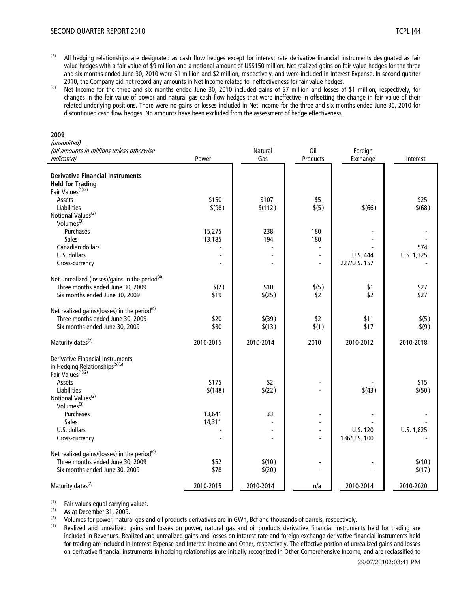- 
- $(5)$  All hedging relationships are designated as cash flow hedges except for interest rate derivative financial instruments designated as fair value hedges with a fair value of \$9 million and a notional amount of US\$150 million. Net realized gains on fair value hedges for the three and six months ended June 30, 2010 were \$1 million and \$2 million, respectively, and were included in Interest Expense. In second quarter 2010, the Company did not record any amounts in Net Income related to ineffectiveness for fair value hedges.
- (6) Net Income for the three and six months ended June 30, 2010 included gains of \$7 million and losses of \$1 million, respectively, for changes in the fair value of power and natural gas cash flow hedges that were ineffective in offsetting the change in fair value of their related underlying positions. There were no gains or losses included in Net Income for the three and six months ended June 30, 2010 for discontinued cash flow hedges. No amounts have been excluded from the assessment of hedge effectiveness.

#### **2009**

| (unaudited)                             |  |  |
|-----------------------------------------|--|--|
| ollamounte in millione unloss athonyics |  |  |

| (all amounts in millions unless otherwise                                   |                  | Natural   | Oil                      | Foreign      |            |
|-----------------------------------------------------------------------------|------------------|-----------|--------------------------|--------------|------------|
| indicated)                                                                  | Power            | Gas       | Products                 | Exchange     | Interest   |
|                                                                             |                  |           |                          |              |            |
| <b>Derivative Financial Instruments</b>                                     |                  |           |                          |              |            |
| <b>Held for Trading</b><br>Fair Values <sup>(1)(2)</sup>                    |                  |           |                          |              |            |
| Assets                                                                      |                  | \$107     |                          |              | \$25       |
| <b>Liabilities</b>                                                          | \$150<br>\$ (98) |           | \$5<br>\$(5)             | \$(66)       | \$(68)     |
| Notional Values <sup>(2)</sup>                                              |                  | \$(112)   |                          |              |            |
| Volumes <sup>(3)</sup>                                                      |                  |           |                          |              |            |
| Purchases                                                                   | 15,275           | 238       | 180                      |              |            |
| Sales                                                                       | 13,185           | 194       | 180                      |              |            |
| Canadian dollars                                                            |                  |           |                          |              | 574        |
| U.S. dollars                                                                |                  |           | $\overline{a}$           | U.S. 444     | U.S. 1,325 |
| Cross-currency                                                              |                  |           | $\overline{a}$           | 227/U.S. 157 |            |
|                                                                             |                  |           |                          |              |            |
| Net unrealized (losses)/gains in the period <sup>(4)</sup>                  |                  |           |                          |              |            |
| Three months ended June 30, 2009                                            | \$(2)            | \$10      | \$(5)                    | \$1          | \$27       |
| Six months ended June 30, 2009                                              | \$19             | \$(25)    | \$2                      | \$2          | \$27       |
|                                                                             |                  |           |                          |              |            |
| Net realized gains/(losses) in the period <sup>(4)</sup>                    |                  |           |                          |              |            |
| Three months ended June 30, 2009                                            | \$20             | $$$ (39)  | \$2                      | \$11         | \$(5)      |
| Six months ended June 30, 2009                                              | \$30             | \$(13)    | \$(1)                    | \$17         | \$(9)      |
|                                                                             |                  |           |                          |              |            |
| Maturity dates <sup>(2)</sup>                                               | 2010-2015        | 2010-2014 | 2010                     | 2010-2012    | 2010-2018  |
|                                                                             |                  |           |                          |              |            |
| <b>Derivative Financial Instruments</b>                                     |                  |           |                          |              |            |
| in Hedging Relationships <sup>(5)(6)</sup><br>Fair Values <sup>(1)(2)</sup> |                  |           |                          |              |            |
| Assets                                                                      | \$175            | \$2       |                          |              | \$15       |
| Liabilities                                                                 | \$(148)          | \$(22)    |                          | \$(43)       | \$(50)     |
| Notional Values <sup>(2)</sup>                                              |                  |           |                          |              |            |
| Volumes <sup>(3)</sup>                                                      |                  |           |                          |              |            |
| Purchases                                                                   | 13,641           | 33        | $\overline{\phantom{a}}$ |              |            |
| Sales                                                                       | 14,311           |           | $\overline{a}$           |              |            |
| U.S. dollars                                                                |                  |           | $\overline{a}$           | U.S. 120     | U.S. 1,825 |
| Cross-currency                                                              |                  |           | L,                       | 136/U.S. 100 |            |
|                                                                             |                  |           |                          |              |            |
| Net realized gains/(losses) in the period <sup>(4)</sup>                    |                  |           |                          |              |            |
| Three months ended June 30, 2009                                            | \$52             | \$(10)    |                          |              | \$(10)     |
| Six months ended June 30, 2009                                              | \$78             | \$(20)    |                          |              | \$(17)     |
|                                                                             |                  |           |                          |              |            |
| Maturity dates <sup>(2)</sup>                                               | 2010-2015        | 2010-2014 | n/a                      | 2010-2014    | 2010-2020  |

 $(1)$  Fair values equal carrying values.<br> $(2)$  As at Desember 21, 2000.

 $\frac{(2)}{(3)}$  As at December 31, 2009.

(3) Volumes for power, natural gas and oil products derivatives are in GWh, Bcf and thousands of barrels, respectively.<br>(4) Poolized and unrealized gains and losses on power, patural gas and oil products derivative financ

Realized and unrealized gains and losses on power, natural gas and oil products derivative financial instruments held for trading are included in Revenues. Realized and unrealized gains and losses on interest rate and foreign exchange derivative financial instruments held for trading are included in Interest Expense and Interest Income and Other, respectively. The effective portion of unrealized gains and losses on derivative financial instruments in hedging relationships are initially recognized in Other Comprehensive Income, and are reclassified to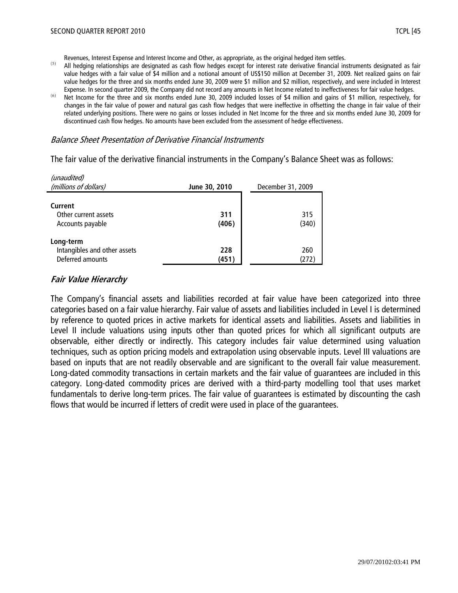Revenues, Interest Expense and Interest Income and Other, as appropriate, as the original hedged item settles.

- <sup>(5)</sup> All hedging relationships are designated as cash flow hedges except for interest rate derivative financial instruments designated as fair value hedges with a fair value of \$4 million and a notional amount of US\$150 million at December 31, 2009. Net realized gains on fair value hedges for the three and six months ended June 30, 2009 were \$1 million and \$2 million, respectively, and were included in Interest Expense. In second quarter 2009, the Company did not record any amounts in Net Income related to ineffectiveness for fair value hedges.
- Net Income for the three and six months ended June 30, 2009 included losses of \$4 million and gains of \$1 million, respectively, for changes in the fair value of power and natural gas cash flow hedges that were ineffective in offsetting the change in fair value of their related underlying positions. There were no gains or losses included in Net Income for the three and six months ended June 30, 2009 for discontinued cash flow hedges. No amounts have been excluded from the assessment of hedge effectiveness.

#### Balance Sheet Presentation of Derivative Financial Instruments

The fair value of the derivative financial instruments in the Company's Balance Sheet was as follows:

| <i>(unaudited)</i>                        |               |                   |
|-------------------------------------------|---------------|-------------------|
| (millions of dollars)                     | June 30, 2010 | December 31, 2009 |
|                                           |               |                   |
| Current                                   |               |                   |
| Other current assets                      | 311           | 315               |
| Accounts payable                          | (406)         | (340)             |
|                                           |               |                   |
|                                           |               |                   |
|                                           | 228           | 260               |
| Deferred amounts                          | (451)         | (272)             |
| Long-term<br>Intangibles and other assets |               |                   |

## **Fair Value Hierarchy**

 $\mathcal{L}$ 

The Company's financial assets and liabilities recorded at fair value have been categorized into three categories based on a fair value hierarchy. Fair value of assets and liabilities included in Level I is determined by reference to quoted prices in active markets for identical assets and liabilities. Assets and liabilities in Level II include valuations using inputs other than quoted prices for which all significant outputs are observable, either directly or indirectly. This category includes fair value determined using valuation techniques, such as option pricing models and extrapolation using observable inputs. Level III valuations are based on inputs that are not readily observable and are significant to the overall fair value measurement. Long-dated commodity transactions in certain markets and the fair value of guarantees are included in this category. Long-dated commodity prices are derived with a third-party modelling tool that uses market fundamentals to derive long-term prices. The fair value of guarantees is estimated by discounting the cash flows that would be incurred if letters of credit were used in place of the guarantees.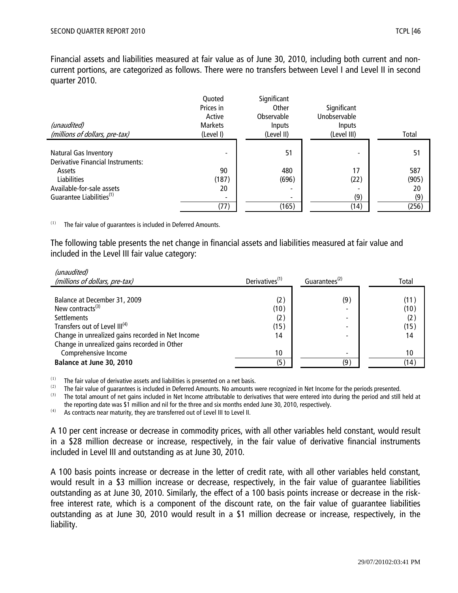Financial assets and liabilities measured at fair value as of June 30, 2010, including both current and noncurrent portions, are categorized as follows. There were no transfers between Level I and Level II in second quarter 2010.

|                                                                          | Quoted<br>Prices in<br>Active | Significant<br>Other<br>Observable | Significant<br>Unobservable |       |
|--------------------------------------------------------------------------|-------------------------------|------------------------------------|-----------------------------|-------|
| (unaudited)                                                              | <b>Markets</b>                | Inputs                             | <b>Inputs</b>               |       |
| (millions of dollars, pre-tax)                                           | (Level I)                     | (Level II)                         | (Level III)                 | Total |
| <b>Natural Gas Inventory</b><br><b>Derivative Financial Instruments:</b> |                               | 51                                 |                             | 51    |
| Assets                                                                   | 90                            | 480                                | 17                          | 587   |
| <b>Liabilities</b>                                                       | (187)                         | (696)                              | (22)                        | (905) |
| Available-for-sale assets                                                | 20                            | $\overline{\phantom{0}}$           |                             | 20    |
| Guarantee Liabilities <sup>(1)</sup>                                     |                               | $\overline{\phantom{a}}$           | (9)                         | (9)   |
|                                                                          | (77)                          | (165)                              | (14)                        | (256) |

The fair value of guarantees is included in Deferred Amounts.

 $\mathbf{u}$ 

The following table presents the net change in financial assets and liabilities measured at fair value and included in the Level III fair value category:

| unauditedi<br>(millions of dollars, pre-tax)                                                                              | Derivatives <sup>(1)</sup> | Guarantees <sup>(2)</sup>            | Total                       |
|---------------------------------------------------------------------------------------------------------------------------|----------------------------|--------------------------------------|-----------------------------|
| Balance at December 31, 2009<br>New contracts $(3)$<br><b>Settlements</b><br>Transfers out of Level III <sup>(4)</sup>    | (2)<br>(10)<br>(2)<br>(15) | (9)<br>-<br>$\overline{\phantom{0}}$ | (11)<br>(10)<br>(2)<br>(15) |
| Change in unrealized gains recorded in Net Income<br>Change in unrealized gains recorded in Other<br>Comprehensive Income | 14<br>10                   | $\overline{\phantom{0}}$             | 14<br>10                    |
| Balance at June 30, 2010                                                                                                  | (5)                        | (9)                                  | (14)                        |

(1) The fair value of derivative assets and liabilities is presented on a net basis.<br>(2) The fair value of guarantees is included in Deferred Amounts. No amounts will

(2) The fair value of guarantees is included in Deferred Amounts. No amounts were recognized in Net Income for the periods presented.<br>(3) The total amount of net gains included in Net Income attributable to derivatives th

The total amount of net gains included in Net Income attributable to derivatives that were entered into during the period and still held at the reporting date was \$1 million and nil for the three and six months ended June 30, 2010, respectively.

 $(4)$  As contracts near maturity, they are transferred out of Level III to Level II.

A 10 per cent increase or decrease in commodity prices, with all other variables held constant, would result in a \$28 million decrease or increase, respectively, in the fair value of derivative financial instruments included in Level III and outstanding as at June 30, 2010.

A 100 basis points increase or decrease in the letter of credit rate, with all other variables held constant, would result in a \$3 million increase or decrease, respectively, in the fair value of guarantee liabilities outstanding as at June 30, 2010. Similarly, the effect of a 100 basis points increase or decrease in the riskfree interest rate, which is a component of the discount rate, on the fair value of guarantee liabilities outstanding as at June 30, 2010 would result in a \$1 million decrease or increase, respectively, in the liability.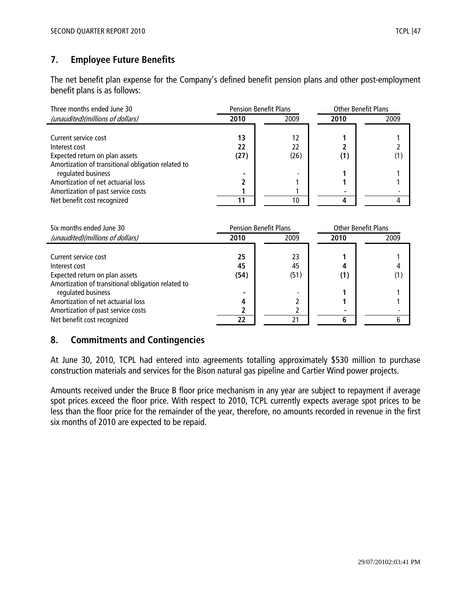# **7. Employee Future Benefits**

The net benefit plan expense for the Company's defined benefit pension plans and other post-employment benefit plans is as follows:

| Three months ended June 30                                                                                                                          | <b>Pension Benefit Plans</b> |                                              | <b>Other Benefit Plans</b> |      |
|-----------------------------------------------------------------------------------------------------------------------------------------------------|------------------------------|----------------------------------------------|----------------------------|------|
| (unaudited)(millions of dollars)                                                                                                                    | 2010                         | 2009                                         | 2010                       | 2009 |
| Current service cost<br>Interest cost<br>Expected return on plan assets<br>Amortization of transitional obligation related to<br>regulated business | 13<br>22<br>(27)             | 12<br>22<br>(26)<br>$\overline{\phantom{a}}$ | (1)                        | (1   |
| Amortization of net actuarial loss<br>Amortization of past service costs                                                                            |                              |                                              | ۰                          |      |
| Net benefit cost recognized                                                                                                                         | 11                           | 10                                           |                            |      |

| Six months ended June 30                           | <b>Pension Benefit Plans</b> |      | <b>Other Benefit Plans</b> |      |
|----------------------------------------------------|------------------------------|------|----------------------------|------|
| (unaudited)(millions of dollars)                   | 2010                         | 2009 | 2010                       | 2009 |
|                                                    |                              |      |                            |      |
| Current service cost                               | 25                           | 23   |                            |      |
| Interest cost                                      | 45                           | 45   |                            |      |
| Expected return on plan assets                     | (54)                         | (51) | (1)                        | (1)  |
| Amortization of transitional obligation related to |                              |      |                            |      |
| regulated business                                 |                              |      |                            |      |
| Amortization of net actuarial loss                 | 4                            |      |                            |      |
| Amortization of past service costs                 |                              |      |                            |      |
| Net benefit cost recognized                        | 22                           | 21   |                            |      |

# **8. Commitments and Contingencies**

At June 30, 2010, TCPL had entered into agreements totalling approximately \$530 million to purchase construction materials and services for the Bison natural gas pipeline and Cartier Wind power projects.

Amounts received under the Bruce B floor price mechanism in any year are subject to repayment if average spot prices exceed the floor price. With respect to 2010, TCPL currently expects average spot prices to be less than the floor price for the remainder of the year, therefore, no amounts recorded in revenue in the first six months of 2010 are expected to be repaid.